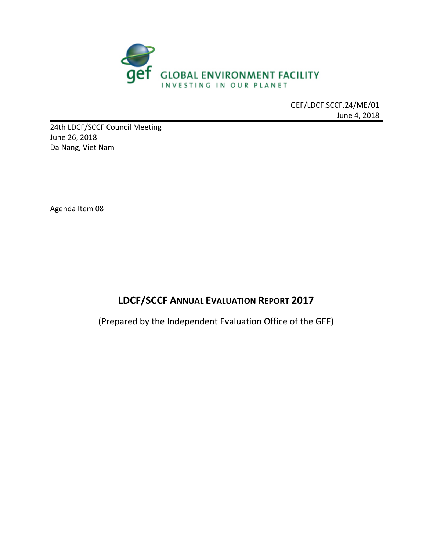

GEF/LDCF.SCCF.24/ME/01 June 4, 2018

24th LDCF/SCCF Council Meeting June 26, 2018 Da Nang, Viet Nam

Agenda Item 08

# **LDCF/SCCF ANNUAL EVALUATION REPORT 2017**

(Prepared by the Independent Evaluation Office of the GEF)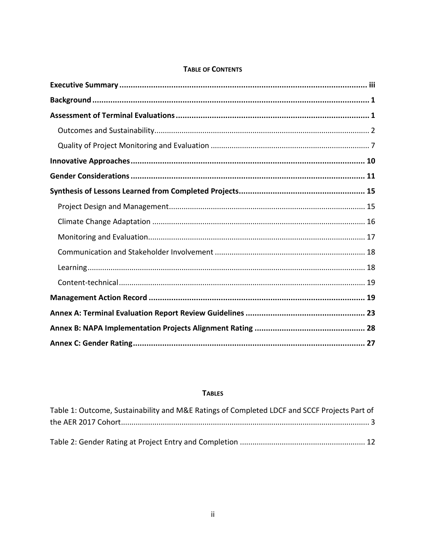| <b>TABLE OF CONTENTS</b> |  |  |  |  |
|--------------------------|--|--|--|--|
|--------------------------|--|--|--|--|

## **TABLES**

| Table 1: Outcome, Sustainability and M&E Ratings of Completed LDCF and SCCF Projects Part of |  |
|----------------------------------------------------------------------------------------------|--|
|                                                                                              |  |
|                                                                                              |  |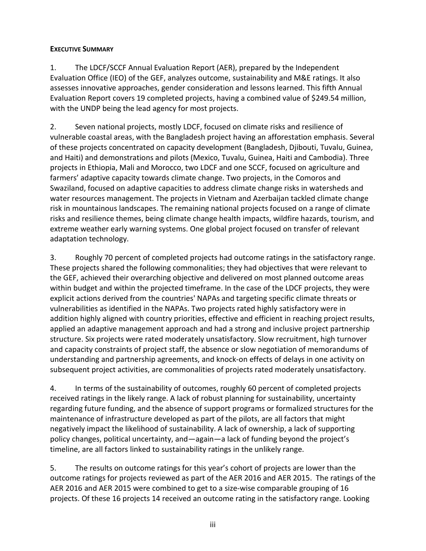#### <span id="page-2-0"></span>**EXECUTIVE SUMMARY**

1. The LDCF/SCCF Annual Evaluation Report (AER), prepared by the Independent Evaluation Office (IEO) of the GEF, analyzes outcome, sustainability and M&E ratings. It also assesses innovative approaches, gender consideration and lessons learned. This fifth Annual Evaluation Report covers 19 completed projects, having a combined value of \$249.54 million, with the UNDP being the lead agency for most projects.

2. Seven national projects, mostly LDCF, focused on climate risks and resilience of vulnerable coastal areas, with the Bangladesh project having an afforestation emphasis. Several of these projects concentrated on capacity development (Bangladesh, Djibouti, Tuvalu, Guinea, and Haiti) and demonstrations and pilots (Mexico, Tuvalu, Guinea, Haiti and Cambodia). Three projects in Ethiopia, Mali and Morocco, two LDCF and one SCCF, focused on agriculture and farmers' adaptive capacity towards climate change. Two projects, in the Comoros and Swaziland, focused on adaptive capacities to address climate change risks in watersheds and water resources management. The projects in Vietnam and Azerbaijan tackled climate change risk in mountainous landscapes. The remaining national projects focused on a range of climate risks and resilience themes, being climate change health impacts, wildfire hazards, tourism, and extreme weather early warning systems. One global project focused on transfer of relevant adaptation technology.

3. Roughly 70 percent of completed projects had outcome ratings in the satisfactory range. These projects shared the following commonalities; they had objectives that were relevant to the GEF, achieved their overarching objective and delivered on most planned outcome areas within budget and within the projected timeframe. In the case of the LDCF projects, they were explicit actions derived from the countries' NAPAs and targeting specific climate threats or vulnerabilities as identified in the NAPAs. Two projects rated highly satisfactory were in addition highly aligned with country priorities, effective and efficient in reaching project results, applied an adaptive management approach and had a strong and inclusive project partnership structure. Six projects were rated moderately unsatisfactory. Slow recruitment, high turnover and capacity constraints of project staff, the absence or slow negotiation of memorandums of understanding and partnership agreements, and knock-on effects of delays in one activity on subsequent project activities, are commonalities of projects rated moderately unsatisfactory.

4. In terms of the sustainability of outcomes, roughly 60 percent of completed projects received ratings in the likely range. A lack of robust planning for sustainability, uncertainty regarding future funding, and the absence of support programs or formalized structures for the maintenance of infrastructure developed as part of the pilots, are all factors that might negatively impact the likelihood of sustainability. A lack of ownership, a lack of supporting policy changes, political uncertainty, and—again—a lack of funding beyond the project's timeline, are all factors linked to sustainability ratings in the unlikely range.

5. The results on outcome ratings for this year's cohort of projects are lower than the outcome ratings for projects reviewed as part of the AER 2016 and AER 2015. The ratings of the AER 2016 and AER 2015 were combined to get to a size-wise comparable grouping of 16 projects. Of these 16 projects 14 received an outcome rating in the satisfactory range. Looking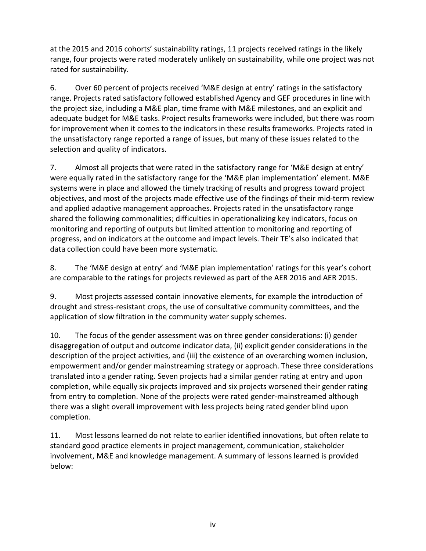at the 2015 and 2016 cohorts' sustainability ratings, 11 projects received ratings in the likely range, four projects were rated moderately unlikely on sustainability, while one project was not rated for sustainability.

6. Over 60 percent of projects received 'M&E design at entry' ratings in the satisfactory range. Projects rated satisfactory followed established Agency and GEF procedures in line with the project size, including a M&E plan, time frame with M&E milestones, and an explicit and adequate budget for M&E tasks. Project results frameworks were included, but there was room for improvement when it comes to the indicators in these results frameworks. Projects rated in the unsatisfactory range reported a range of issues, but many of these issues related to the selection and quality of indicators.

7. Almost all projects that were rated in the satisfactory range for 'M&E design at entry' were equally rated in the satisfactory range for the 'M&E plan implementation' element. M&E systems were in place and allowed the timely tracking of results and progress toward project objectives, and most of the projects made effective use of the findings of their mid-term review and applied adaptive management approaches. Projects rated in the unsatisfactory range shared the following commonalities; difficulties in operationalizing key indicators, focus on monitoring and reporting of outputs but limited attention to monitoring and reporting of progress, and on indicators at the outcome and impact levels. Their TE's also indicated that data collection could have been more systematic.

8. The 'M&E design at entry' and 'M&E plan implementation' ratings for this year's cohort are comparable to the ratings for projects reviewed as part of the AER 2016 and AER 2015.

9. Most projects assessed contain innovative elements, for example the introduction of drought and stress-resistant crops, the use of consultative community committees, and the application of slow filtration in the community water supply schemes.

10. The focus of the gender assessment was on three gender considerations: (i) gender disaggregation of output and outcome indicator data, (ii) explicit gender considerations in the description of the project activities, and (iii) the existence of an overarching women inclusion, empowerment and/or gender mainstreaming strategy or approach. These three considerations translated into a gender rating. Seven projects had a similar gender rating at entry and upon completion, while equally six projects improved and six projects worsened their gender rating from entry to completion. None of the projects were rated gender-mainstreamed although there was a slight overall improvement with less projects being rated gender blind upon completion.

11. Most lessons learned do not relate to earlier identified innovations, but often relate to standard good practice elements in project management, communication, stakeholder involvement, M&E and knowledge management. A summary of lessons learned is provided below: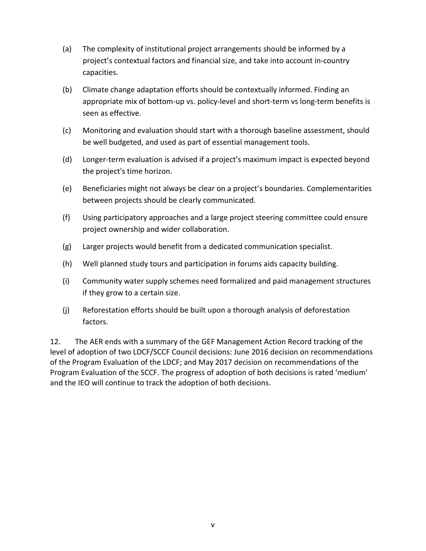- (a) The complexity of institutional project arrangements should be informed by a project's contextual factors and financial size, and take into account in-country capacities.
- (b) Climate change adaptation efforts should be contextually informed. Finding an appropriate mix of bottom-up vs. policy-level and short-term vs long-term benefits is seen as effective.
- (c) Monitoring and evaluation should start with a thorough baseline assessment, should be well budgeted, and used as part of essential management tools.
- (d) Longer-term evaluation is advised if a project's maximum impact is expected beyond the project's time horizon.
- (e) Beneficiaries might not always be clear on a project's boundaries. Complementarities between projects should be clearly communicated.
- (f) Using participatory approaches and a large project steering committee could ensure project ownership and wider collaboration.
- (g) Larger projects would benefit from a dedicated communication specialist.
- (h) Well planned study tours and participation in forums aids capacity building.
- (i) Community water supply schemes need formalized and paid management structures if they grow to a certain size.
- (j) Reforestation efforts should be built upon a thorough analysis of deforestation factors.

12. The AER ends with a summary of the GEF Management Action Record tracking of the level of adoption of two LDCF/SCCF Council decisions: June 2016 decision on recommendations of the Program Evaluation of the LDCF; and May 2017 decision on recommendations of the Program Evaluation of the SCCF. The progress of adoption of both decisions is rated 'medium' and the IEO will continue to track the adoption of both decisions.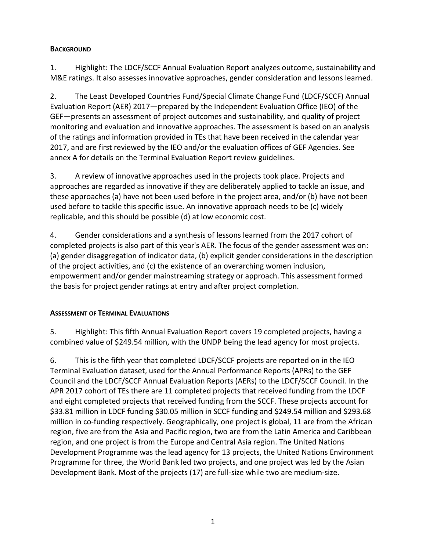# <span id="page-5-0"></span>**BACKGROUND**

1. Highlight: The LDCF/SCCF Annual Evaluation Report analyzes outcome, sustainability and M&E ratings. It also assesses innovative approaches, gender consideration and lessons learned.

2. The Least Developed Countries Fund/Special Climate Change Fund (LDCF/SCCF) Annual Evaluation Report (AER) 2017—prepared by the Independent Evaluation Office (IEO) of the GEF—presents an assessment of project outcomes and sustainability, and quality of project monitoring and evaluation and innovative approaches. The assessment is based on an analysis of the ratings and information provided in TEs that have been received in the calendar year 2017, and are first reviewed by the IEO and/or the evaluation offices of GEF Agencies. See annex A for details on the Terminal Evaluation Report review guidelines.

3. A review of innovative approaches used in the projects took place. Projects and approaches are regarded as innovative if they are deliberately applied to tackle an issue, and these approaches (a) have not been used before in the project area, and/or (b) have not been used before to tackle this specific issue. An innovative approach needs to be (c) widely replicable, and this should be possible (d) at low economic cost.

4. Gender considerations and a synthesis of lessons learned from the 2017 cohort of completed projects is also part of this year's AER. The focus of the gender assessment was on: (a) gender disaggregation of indicator data, (b) explicit gender considerations in the description of the project activities, and (c) the existence of an overarching women inclusion, empowerment and/or gender mainstreaming strategy or approach. This assessment formed the basis for project gender ratings at entry and after project completion.

# <span id="page-5-1"></span>**ASSESSMENT OF TERMINAL EVALUATIONS**

5. Highlight: This fifth Annual Evaluation Report covers 19 completed projects, having a combined value of \$249.54 million, with the UNDP being the lead agency for most projects.

6. This is the fifth year that completed LDCF/SCCF projects are reported on in the IEO Terminal Evaluation dataset, used for the Annual Performance Reports (APRs) to the GEF Council and the LDCF/SCCF Annual Evaluation Reports (AERs) to the LDCF/SCCF Council. In the APR 2017 cohort of TEs there are 11 completed projects that received funding from the LDCF and eight completed projects that received funding from the SCCF. These projects account for \$33.81 million in LDCF funding \$30.05 million in SCCF funding and \$249.54 million and \$293.68 million in co-funding respectively. Geographically, one project is global, 11 are from the African region, five are from the Asia and Pacific region, two are from the Latin America and Caribbean region, and one project is from the Europe and Central Asia region. The United Nations Development Programme was the lead agency for 13 projects, the United Nations Environment Programme for three, the World Bank led two projects, and one project was led by the Asian Development Bank. Most of the projects (17) are full-size while two are medium-size.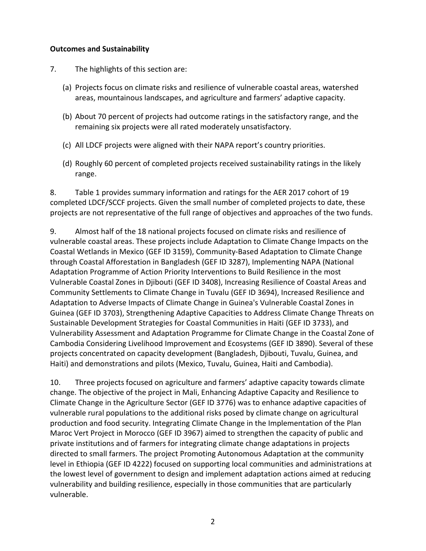## <span id="page-6-0"></span>**Outcomes and Sustainability**

- 7. The highlights of this section are:
	- (a) Projects focus on climate risks and resilience of vulnerable coastal areas, watershed areas, mountainous landscapes, and agriculture and farmers' adaptive capacity.
	- (b) About 70 percent of projects had outcome ratings in the satisfactory range, and the remaining six projects were all rated moderately unsatisfactory.
	- (c) All LDCF projects were aligned with their NAPA report's country priorities.
	- (d) Roughly 60 percent of completed projects received sustainability ratings in the likely range.

8. Table 1 provides summary information and ratings for the AER 2017 cohort of 19 completed LDCF/SCCF projects. Given the small number of completed projects to date, these projects are not representative of the full range of objectives and approaches of the two funds.

9. Almost half of the 18 national projects focused on climate risks and resilience of vulnerable coastal areas. These projects include Adaptation to Climate Change Impacts on the Coastal Wetlands in Mexico (GEF ID 3159), Community-Based Adaptation to Climate Change through Coastal Afforestation in Bangladesh (GEF ID 3287), Implementing NAPA (National Adaptation Programme of Action Priority Interventions to Build Resilience in the most Vulnerable Coastal Zones in Djibouti (GEF ID 3408), Increasing Resilience of Coastal Areas and Community Settlements to Climate Change in Tuvalu (GEF ID 3694), Increased Resilience and Adaptation to Adverse Impacts of Climate Change in Guinea's Vulnerable Coastal Zones in Guinea (GEF ID 3703), Strengthening Adaptive Capacities to Address Climate Change Threats on Sustainable Development Strategies for Coastal Communities in Haiti (GEF ID 3733), and Vulnerability Assessment and Adaptation Programme for Climate Change in the Coastal Zone of Cambodia Considering Livelihood Improvement and Ecosystems (GEF ID 3890). Several of these projects concentrated on capacity development (Bangladesh, Djibouti, Tuvalu, Guinea, and Haiti) and demonstrations and pilots (Mexico, Tuvalu, Guinea, Haiti and Cambodia).

10. Three projects focused on agriculture and farmers' adaptive capacity towards climate change. The objective of the project in Mali, Enhancing Adaptive Capacity and Resilience to Climate Change in the Agriculture Sector (GEF ID 3776) was to enhance adaptive capacities of vulnerable rural populations to the additional risks posed by climate change on agricultural production and food security. Integrating Climate Change in the Implementation of the Plan Maroc Vert Project in Morocco (GEF ID 3967) aimed to strengthen the capacity of public and private institutions and of farmers for integrating climate change adaptations in projects directed to small farmers. The project Promoting Autonomous Adaptation at the community level in Ethiopia (GEF ID 4222) focused on supporting local communities and administrations at the lowest level of government to design and implement adaptation actions aimed at reducing vulnerability and building resilience, especially in those communities that are particularly vulnerable.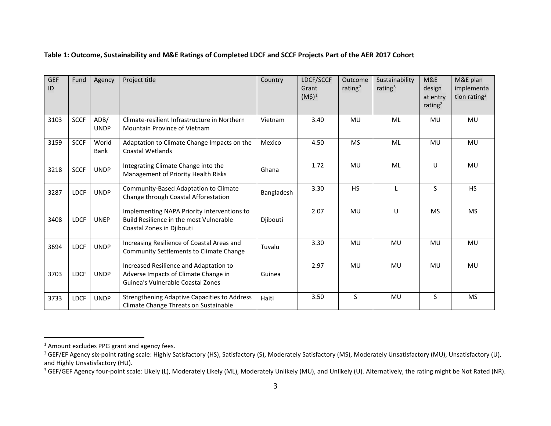<span id="page-7-0"></span>

| <b>GEF</b><br>ID | Fund        | Agency               | Project title                                                                                                       | Country    | LDCF/SCCF<br>Grant<br>$(M$)^1$ | Outcome<br>rating <sup>2</sup> | Sustainability<br>rating $3$ | M&E<br>design<br>at entry<br>rating <sup>2</sup> | M&E plan<br>implementa<br>tion rating <sup>2</sup> |
|------------------|-------------|----------------------|---------------------------------------------------------------------------------------------------------------------|------------|--------------------------------|--------------------------------|------------------------------|--------------------------------------------------|----------------------------------------------------|
| 3103             | <b>SCCF</b> | ADB/<br><b>UNDP</b>  | Climate-resilient Infrastructure in Northern<br>Mountain Province of Vietnam                                        | Vietnam    | 3.40                           | MU                             | ML                           | <b>MU</b>                                        | <b>MU</b>                                          |
| 3159             | <b>SCCF</b> | World<br><b>Bank</b> | Adaptation to Climate Change Impacts on the<br>Coastal Wetlands                                                     | Mexico     | 4.50                           | <b>MS</b>                      | ML                           | <b>MU</b>                                        | MU                                                 |
| 3218             | <b>SCCF</b> | <b>UNDP</b>          | Integrating Climate Change into the<br>Management of Priority Health Risks                                          | Ghana      | 1.72                           | MU                             | <b>ML</b>                    | $\mathsf{U}$                                     | MU                                                 |
| 3287             | <b>LDCF</b> | <b>UNDP</b>          | Community-Based Adaptation to Climate<br>Change through Coastal Afforestation                                       | Bangladesh | 3.30                           | <b>HS</b>                      | $\mathsf{I}$                 | S.                                               | <b>HS</b>                                          |
| 3408             | <b>LDCF</b> | <b>UNEP</b>          | Implementing NAPA Priority Interventions to<br>Build Resilience in the most Vulnerable<br>Coastal Zones in Djibouti | Djibouti   | 2.07                           | MU                             | U                            | <b>MS</b>                                        | <b>MS</b>                                          |
| 3694             | <b>LDCF</b> | <b>UNDP</b>          | Increasing Resilience of Coastal Areas and<br>Community Settlements to Climate Change                               | Tuvalu     | 3.30                           | MU                             | <b>MU</b>                    | <b>MU</b>                                        | <b>MU</b>                                          |
| 3703             | <b>LDCF</b> | <b>UNDP</b>          | Increased Resilience and Adaptation to<br>Adverse Impacts of Climate Change in<br>Guinea's Vulnerable Coastal Zones | Guinea     | 2.97                           | MU                             | MU                           | <b>MU</b>                                        | MU                                                 |
| 3733             | <b>LDCF</b> | <b>UNDP</b>          | <b>Strengthening Adaptive Capacities to Address</b><br>Climate Change Threats on Sustainable                        | Haiti      | 3.50                           | <sub>S</sub>                   | MU                           | S.                                               | <b>MS</b>                                          |

#### <span id="page-7-3"></span><span id="page-7-2"></span><span id="page-7-1"></span>**Table 1: Outcome, Sustainability and M&E Ratings of Completed LDCF and SCCF Projects Part of the AER 2017 Cohort**

<sup>&</sup>lt;sup>1</sup> Amount excludes PPG grant and agency fees.

<sup>&</sup>lt;sup>2</sup> GEF/EF Agency six-point rating scale: Highly Satisfactory (HS), Satisfactory (S), Moderately Satisfactory (MS), Moderately Unsatisfactory (MU), Unsatisfactory (U), and Highly Unsatisfactory (HU).

<sup>&</sup>lt;sup>3</sup> GEF/GEF Agency four-point scale: Likely (L), Moderately Likely (ML), Moderately Unlikely (MU), and Unlikely (U). Alternatively, the rating might be Not Rated (NR).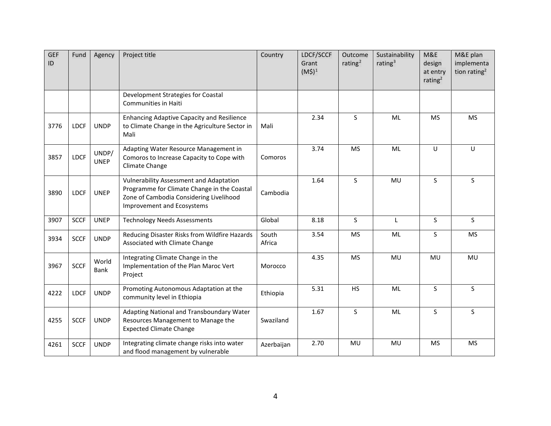| <b>GEF</b><br>ID | Fund        | Agency               | Project title                                                                                                                                                          | Country         | LDCF/SCCF<br>Grant<br>$(M$)^1$ | Outcome<br>rating $2$ | Sustainability<br>rating $3$ | M&E<br>design<br>at entry<br>rating $2$ | M&E plan<br>implementa<br>tion rating <sup>2</sup> |
|------------------|-------------|----------------------|------------------------------------------------------------------------------------------------------------------------------------------------------------------------|-----------------|--------------------------------|-----------------------|------------------------------|-----------------------------------------|----------------------------------------------------|
|                  |             |                      | Development Strategies for Coastal<br><b>Communities in Haiti</b>                                                                                                      |                 |                                |                       |                              |                                         |                                                    |
| 3776             | <b>LDCF</b> | <b>UNDP</b>          | <b>Enhancing Adaptive Capacity and Resilience</b><br>to Climate Change in the Agriculture Sector in<br>Mali                                                            | Mali            | 2.34                           | S                     | ML                           | <b>MS</b>                               | <b>MS</b>                                          |
| 3857             | <b>LDCF</b> | UNDP/<br><b>UNEP</b> | Adapting Water Resource Management in<br>Comoros to Increase Capacity to Cope with<br>Climate Change                                                                   | Comoros         | 3.74                           | <b>MS</b>             | ML                           | U                                       | U                                                  |
| 3890             | <b>LDCF</b> | <b>UNEP</b>          | <b>Vulnerability Assessment and Adaptation</b><br>Programme for Climate Change in the Coastal<br>Zone of Cambodia Considering Livelihood<br>Improvement and Ecosystems | Cambodia        | 1.64                           | S                     | MU                           | S.                                      | S.                                                 |
| 3907             | <b>SCCF</b> | <b>UNEP</b>          | <b>Technology Needs Assessments</b>                                                                                                                                    | Global          | 8.18                           | S                     | L                            | <sub>S</sub>                            | $\mathsf{S}$                                       |
| 3934             | <b>SCCF</b> | <b>UNDP</b>          | Reducing Disaster Risks from Wildfire Hazards<br>Associated with Climate Change                                                                                        | South<br>Africa | 3.54                           | <b>MS</b>             | ML                           | $\mathsf{S}$                            | <b>MS</b>                                          |
| 3967             | <b>SCCF</b> | World<br>Bank        | Integrating Climate Change in the<br>Implementation of the Plan Maroc Vert<br>Project                                                                                  | Morocco         | 4.35                           | <b>MS</b>             | MU                           | MU                                      | MU                                                 |
| 4222             | <b>LDCF</b> | <b>UNDP</b>          | Promoting Autonomous Adaptation at the<br>community level in Ethiopia                                                                                                  | Ethiopia        | 5.31                           | <b>HS</b>             | ML                           | S                                       | S                                                  |
| 4255             | <b>SCCF</b> | <b>UNDP</b>          | Adapting National and Transboundary Water<br>Resources Management to Manage the<br><b>Expected Climate Change</b>                                                      | Swaziland       | 1.67                           | S.                    | ML                           | S.                                      | S                                                  |
| 4261             | <b>SCCF</b> | <b>UNDP</b>          | Integrating climate change risks into water<br>and flood management by vulnerable                                                                                      | Azerbaijan      | 2.70                           | MU                    | MU                           | <b>MS</b>                               | <b>MS</b>                                          |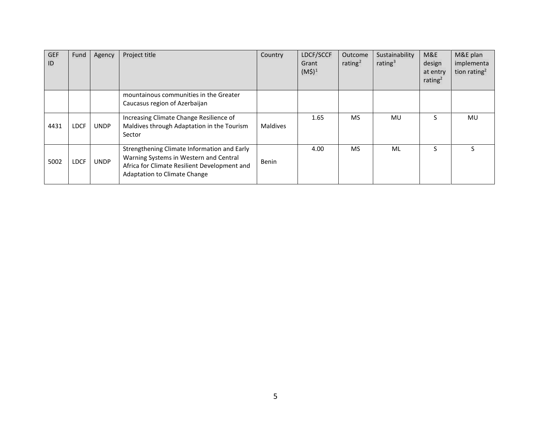| <b>GEF</b><br>ID | Fund        | Agency      | Project title                                                                                                                                                                | Country  | LDCF/SCCF<br>Grant<br>$(M\hat{S})^1$ | Outcome<br>rating <sup>2</sup> | Sustainability<br>rating $3$ | M&E<br>design<br>at entry<br>rating <sup>2</sup> | M&E plan<br>implementa<br>tion rating <sup>2</sup> |
|------------------|-------------|-------------|------------------------------------------------------------------------------------------------------------------------------------------------------------------------------|----------|--------------------------------------|--------------------------------|------------------------------|--------------------------------------------------|----------------------------------------------------|
|                  |             |             | mountainous communities in the Greater<br>Caucasus region of Azerbaijan                                                                                                      |          |                                      |                                |                              |                                                  |                                                    |
| 4431             | <b>LDCF</b> | <b>UNDP</b> | Increasing Climate Change Resilience of<br>Maldives through Adaptation in the Tourism<br>Sector                                                                              | Maldives | 1.65                                 | <b>MS</b>                      | MU                           |                                                  | MU                                                 |
| 5002             | <b>LDCF</b> | <b>UNDP</b> | Strengthening Climate Information and Early<br>Warning Systems in Western and Central<br>Africa for Climate Resilient Development and<br><b>Adaptation to Climate Change</b> | Benin    | 4.00                                 | <b>MS</b>                      | ML                           | S                                                |                                                    |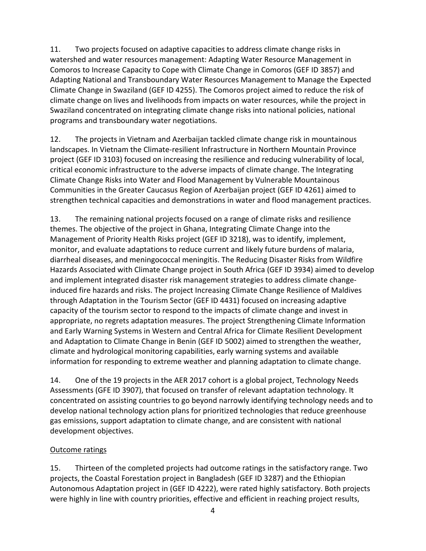11. Two projects focused on adaptive capacities to address climate change risks in watershed and water resources management: Adapting Water Resource Management in Comoros to Increase Capacity to Cope with Climate Change in Comoros (GEF ID 3857) and Adapting National and Transboundary Water Resources Management to Manage the Expected Climate Change in Swaziland (GEF ID 4255). The Comoros project aimed to reduce the risk of climate change on lives and livelihoods from impacts on water resources, while the project in Swaziland concentrated on integrating climate change risks into national policies, national programs and transboundary water negotiations.

12. The projects in Vietnam and Azerbaijan tackled climate change risk in mountainous landscapes. In Vietnam the Climate-resilient Infrastructure in Northern Mountain Province project (GEF ID 3103) focused on increasing the resilience and reducing vulnerability of local, critical economic infrastructure to the adverse impacts of climate change. The Integrating Climate Change Risks into Water and Flood Management by Vulnerable Mountainous Communities in the Greater Caucasus Region of Azerbaijan project (GEF ID 4261) aimed to strengthen technical capacities and demonstrations in water and flood management practices.

13. The remaining national projects focused on a range of climate risks and resilience themes. The objective of the project in Ghana, Integrating Climate Change into the Management of Priority Health Risks project (GEF ID 3218), was to identify, implement, monitor, and evaluate adaptations to reduce current and likely future burdens of malaria, diarrheal diseases, and meningococcal meningitis. The Reducing Disaster Risks from Wildfire Hazards Associated with Climate Change project in South Africa (GEF ID 3934) aimed to develop and implement integrated disaster risk management strategies to address climate changeinduced fire hazards and risks. The project Increasing Climate Change Resilience of Maldives through Adaptation in the Tourism Sector (GEF ID 4431) focused on increasing adaptive capacity of the tourism sector to respond to the impacts of climate change and invest in appropriate, no regrets adaptation measures. The project Strengthening Climate Information and Early Warning Systems in Western and Central Africa for Climate Resilient Development and Adaptation to Climate Change in Benin (GEF ID 5002) aimed to strengthen the weather, climate and hydrological monitoring capabilities, early warning systems and available information for responding to extreme weather and planning adaptation to climate change.

14. One of the 19 projects in the AER 2017 cohort is a global project, Technology Needs Assessments (GFE ID 3907), that focused on transfer of relevant adaptation technology. It concentrated on assisting countries to go beyond narrowly identifying technology needs and to develop national technology action plans for prioritized technologies that reduce greenhouse gas emissions, support adaptation to climate change, and are consistent with national development objectives.

# Outcome ratings

15. Thirteen of the completed projects had outcome ratings in the satisfactory range. Two projects, the Coastal Forestation project in Bangladesh (GEF ID 3287) and the Ethiopian Autonomous Adaptation project in (GEF ID 4222), were rated highly satisfactory. Both projects were highly in line with country priorities, effective and efficient in reaching project results,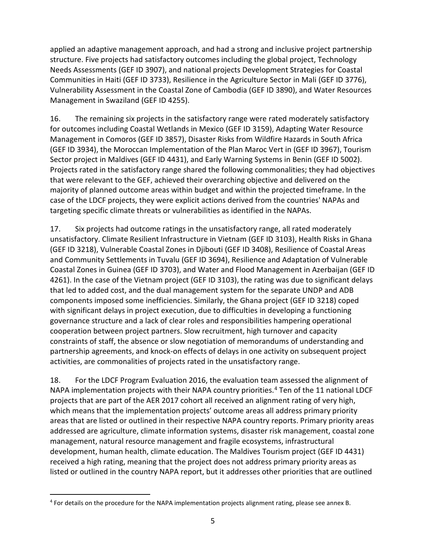applied an adaptive management approach, and had a strong and inclusive project partnership structure. Five projects had satisfactory outcomes including the global project, Technology Needs Assessments (GEF ID 3907), and national projects Development Strategies for Coastal Communities in Haiti (GEF ID 3733), Resilience in the Agriculture Sector in Mali (GEF ID 3776), Vulnerability Assessment in the Coastal Zone of Cambodia (GEF ID 3890), and Water Resources Management in Swaziland (GEF ID 4255).

16. The remaining six projects in the satisfactory range were rated moderately satisfactory for outcomes including Coastal Wetlands in Mexico (GEF ID 3159), Adapting Water Resource Management in Comoros (GEF ID 3857), Disaster Risks from Wildfire Hazards in South Africa (GEF ID 3934), the Moroccan Implementation of the Plan Maroc Vert in (GEF ID 3967), Tourism Sector project in Maldives (GEF ID 4431), and Early Warning Systems in Benin (GEF ID 5002). Projects rated in the satisfactory range shared the following commonalities; they had objectives that were relevant to the GEF, achieved their overarching objective and delivered on the majority of planned outcome areas within budget and within the projected timeframe. In the case of the LDCF projects, they were explicit actions derived from the countries' NAPAs and targeting specific climate threats or vulnerabilities as identified in the NAPAs.

17. Six projects had outcome ratings in the unsatisfactory range, all rated moderately unsatisfactory. Climate Resilient Infrastructure in Vietnam (GEF ID 3103), Health Risks in Ghana (GEF ID 3218), Vulnerable Coastal Zones in Djibouti (GEF ID 3408), Resilience of Coastal Areas and Community Settlements in Tuvalu (GEF ID 3694), Resilience and Adaptation of Vulnerable Coastal Zones in Guinea (GEF ID 3703), and Water and Flood Management in Azerbaijan (GEF ID 4261). In the case of the Vietnam project (GEF ID 3103), the rating was due to significant delays that led to added cost, and the dual management system for the separate UNDP and ADB components imposed some inefficiencies. Similarly, the Ghana project (GEF ID 3218) coped with significant delays in project execution, due to difficulties in developing a functioning governance structure and a lack of clear roles and responsibilities hampering operational cooperation between project partners. Slow recruitment, high turnover and capacity constraints of staff, the absence or slow negotiation of memorandums of understanding and partnership agreements, and knock-on effects of delays in one activity on subsequent project activities, are commonalities of projects rated in the unsatisfactory range.

18. For the LDCF Program Evaluation 2016, the evaluation team assessed the alignment of NAPA implementation projects with their NAPA country priorities.<sup>[4](#page-11-0)</sup> Ten of the 11 national LDCF projects that are part of the AER 2017 cohort all received an alignment rating of very high, which means that the implementation projects' outcome areas all address primary priority areas that are listed or outlined in their respective NAPA country reports. Primary priority areas addressed are agriculture, climate information systems, disaster risk management, coastal zone management, natural resource management and fragile ecosystems, infrastructural development, human health, climate education. The Maldives Tourism project (GEF ID 4431) received a high rating, meaning that the project does not address primary priority areas as listed or outlined in the country NAPA report, but it addresses other priorities that are outlined

<span id="page-11-0"></span> <sup>4</sup> For details on the procedure for the NAPA implementation projects alignment rating, please see annex B.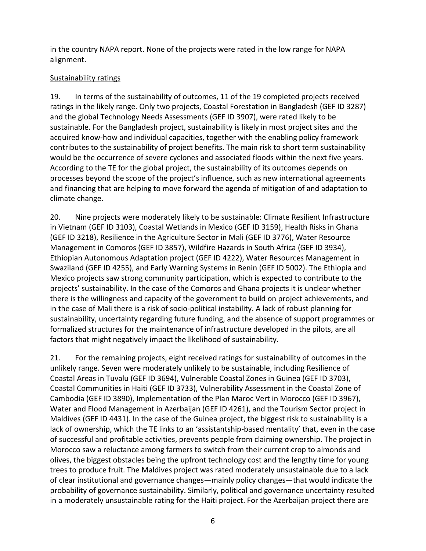in the country NAPA report. None of the projects were rated in the low range for NAPA alignment.

# Sustainability ratings

19. In terms of the sustainability of outcomes, 11 of the 19 completed projects received ratings in the likely range. Only two projects, Coastal Forestation in Bangladesh (GEF ID 3287) and the global Technology Needs Assessments (GEF ID 3907), were rated likely to be sustainable. For the Bangladesh project, sustainability is likely in most project sites and the acquired know-how and individual capacities, together with the enabling policy framework contributes to the sustainability of project benefits. The main risk to short term sustainability would be the occurrence of severe cyclones and associated floods within the next five years. According to the TE for the global project, the sustainability of its outcomes depends on processes beyond the scope of the project's influence, such as new international agreements and financing that are helping to move forward the agenda of mitigation of and adaptation to climate change.

20. Nine projects were moderately likely to be sustainable: Climate Resilient Infrastructure in Vietnam (GEF ID 3103), Coastal Wetlands in Mexico (GEF ID 3159), Health Risks in Ghana (GEF ID 3218), Resilience in the Agriculture Sector in Mali (GEF ID 3776), Water Resource Management in Comoros (GEF ID 3857), Wildfire Hazards in South Africa (GEF ID 3934), Ethiopian Autonomous Adaptation project (GEF ID 4222), Water Resources Management in Swaziland (GEF ID 4255), and Early Warning Systems in Benin (GEF ID 5002). The Ethiopia and Mexico projects saw strong community participation, which is expected to contribute to the projects' sustainability. In the case of the Comoros and Ghana projects it is unclear whether there is the willingness and capacity of the government to build on project achievements, and in the case of Mali there is a risk of socio-political instability. A lack of robust planning for sustainability, uncertainty regarding future funding, and the absence of support programmes or formalized structures for the maintenance of infrastructure developed in the pilots, are all factors that might negatively impact the likelihood of sustainability.

21. For the remaining projects, eight received ratings for sustainability of outcomes in the unlikely range. Seven were moderately unlikely to be sustainable, including Resilience of Coastal Areas in Tuvalu (GEF ID 3694), Vulnerable Coastal Zones in Guinea (GEF ID 3703), Coastal Communities in Haiti (GEF ID 3733), Vulnerability Assessment in the Coastal Zone of Cambodia (GEF ID 3890), Implementation of the Plan Maroc Vert in Morocco (GEF ID 3967), Water and Flood Management in Azerbaijan (GEF ID 4261), and the Tourism Sector project in Maldives (GEF ID 4431). In the case of the Guinea project, the biggest risk to sustainability is a lack of ownership, which the TE links to an 'assistantship-based mentality' that, even in the case of successful and profitable activities, prevents people from claiming ownership. The project in Morocco saw a reluctance among farmers to switch from their current crop to almonds and olives, the biggest obstacles being the upfront technology cost and the lengthy time for young trees to produce fruit. The Maldives project was rated moderately unsustainable due to a lack of clear institutional and governance changes—mainly policy changes—that would indicate the probability of governance sustainability. Similarly, political and governance uncertainty resulted in a moderately unsustainable rating for the Haiti project. For the Azerbaijan project there are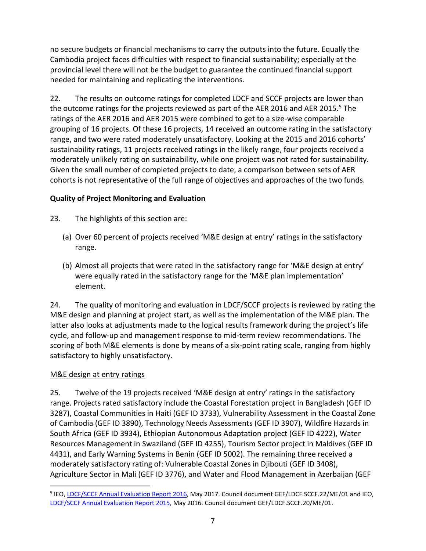no secure budgets or financial mechanisms to carry the outputs into the future. Equally the Cambodia project faces difficulties with respect to financial sustainability; especially at the provincial level there will not be the budget to guarantee the continued financial support needed for maintaining and replicating the interventions.

22. The results on outcome ratings for completed LDCF and SCCF projects are lower than the outcome ratings for the projects reviewed as part of the AER 2016 and AER 201[5](#page-13-1).<sup>5</sup> The ratings of the AER 2016 and AER 2015 were combined to get to a size-wise comparable grouping of 16 projects. Of these 16 projects, 14 received an outcome rating in the satisfactory range, and two were rated moderately unsatisfactory. Looking at the 2015 and 2016 cohorts' sustainability ratings, 11 projects received ratings in the likely range, four projects received a moderately unlikely rating on sustainability, while one project was not rated for sustainability. Given the small number of completed projects to date, a comparison between sets of AER cohorts is not representative of the full range of objectives and approaches of the two funds.

# <span id="page-13-0"></span>**Quality of Project Monitoring and Evaluation**

- 23. The highlights of this section are:
	- (a) Over 60 percent of projects received 'M&E design at entry' ratings in the satisfactory range.
	- (b) Almost all projects that were rated in the satisfactory range for 'M&E design at entry' were equally rated in the satisfactory range for the 'M&E plan implementation' element.

24. The quality of monitoring and evaluation in LDCF/SCCF projects is reviewed by rating the M&E design and planning at project start, as well as the implementation of the M&E plan. The latter also looks at adjustments made to the logical results framework during the project's life cycle, and follow-up and management response to mid-term review recommendations. The scoring of both M&E elements is done by means of a six-point rating scale, ranging from highly satisfactory to highly unsatisfactory.

# M&E design at entry ratings

25. Twelve of the 19 projects received 'M&E design at entry' ratings in the satisfactory range. Projects rated satisfactory include the Coastal Forestation project in Bangladesh (GEF ID 3287), Coastal Communities in Haiti (GEF ID 3733), Vulnerability Assessment in the Coastal Zone of Cambodia (GEF ID 3890), Technology Needs Assessments (GEF ID 3907), Wildfire Hazards in South Africa (GEF ID 3934), Ethiopian Autonomous Adaptation project (GEF ID 4222), Water Resources Management in Swaziland (GEF ID 4255), Tourism Sector project in Maldives (GEF ID 4431), and Early Warning Systems in Benin (GEF ID 5002). The remaining three received a moderately satisfactory rating of: Vulnerable Coastal Zones in Djibouti (GEF ID 3408), Agriculture Sector in Mali (GEF ID 3776), and Water and Flood Management in Azerbaijan (GEF

<span id="page-13-1"></span> <sup>5</sup> IEO[, LDCF/SCCF Annual Evaluation Report 2016,](http://www.gefieo.org/council-documents/ldcfsccf-annual-evaluation-report-2016) May 2017. Council document GEF/LDCF.SCCF.22/ME/01 and IEO, [LDCF/SCCF Annual Evaluation Report 2015,](http://www.gefieo.org/council-documents/ldcfsccf-annual-evaluation-report-2015) May 2016. Council document GEF/LDCF.SCCF.20/ME/01.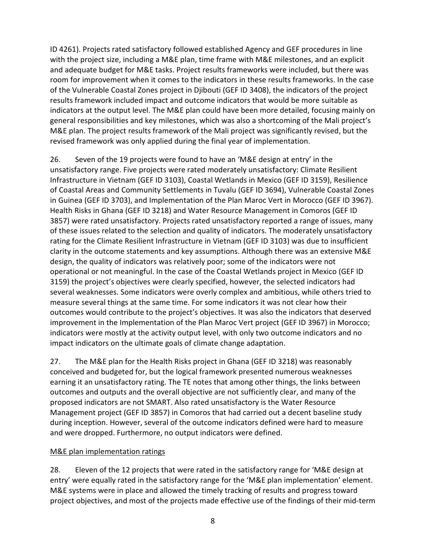ID 4261). Projects rated satisfactory followed established Agency and GEF procedures in line with the project size, including a M&E plan, time frame with M&E milestones, and an explicit and adequate budget for M&E tasks. Project results frameworks were included, but there was room for improvement when it comes to the indicators in these results frameworks. In the case of the Vulnerable Coastal Zones project in Djibouti (GEF ID 3408), the indicators of the project results framework included impact and outcome indicators that would be more suitable as indicators at the output level. The M&E plan could have been more detailed, focusing mainly on general responsibilities and key milestones, which was also a shortcoming of the Mali project's M&E plan. The project results framework of the Mali project was significantly revised, but the revised framework was only applied during the final year of implementation.

26. Seven of the 19 projects were found to have an 'M&E design at entry' in the unsatisfactory range. Five projects were rated moderately unsatisfactory: Climate Resilient Infrastructure in Vietnam (GEF ID 3103), Coastal Wetlands in Mexico (GEF ID 3159), Resilience of Coastal Areas and Community Settlements in Tuvalu (GEF ID 3694), Vulnerable Coastal Zones in Guinea (GEF ID 3703), and Implementation of the Plan Maroc Vert in Morocco (GEF ID 3967). Health Risks in Ghana (GEF ID 3218) and Water Resource Management in Comoros (GEF ID 3857) were rated unsatisfactory. Projects rated unsatisfactory reported a range of issues, many of these issues related to the selection and quality of indicators. The moderately unsatisfactory rating for the Climate Resilient Infrastructure in Vietnam (GEF ID 3103) was due to insufficient clarity in the outcome statements and key assumptions. Although there was an extensive M&E design, the quality of indicators was relatively poor; some of the indicators were not operational or not meaningful. In the case of the Coastal Wetlands project in Mexico (GEF ID 3159) the project's objectives were clearly specified, however, the selected indicators had several weaknesses. Some indicators were overly complex and ambitious, while others tried to measure several things at the same time. For some indicators it was not clear how their outcomes would contribute to the project's objectives. It was also the indicators that deserved improvement in the Implementation of the Plan Maroc Vert project (GEF ID 3967) in Morocco; indicators were mostly at the activity output level, with only two outcome indicators and no impact indicators on the ultimate goals of climate change adaptation.

27. The M&E plan for the Health Risks project in Ghana (GEF ID 3218) was reasonably conceived and budgeted for, but the logical framework presented numerous weaknesses earning it an unsatisfactory rating. The TE notes that among other things, the links between outcomes and outputs and the overall objective are not sufficiently clear, and many of the proposed indicators are not SMART. Also rated unsatisfactory is the Water Resource Management project (GEF ID 3857) in Comoros that had carried out a decent baseline study during inception. However, several of the outcome indicators defined were hard to measure and were dropped. Furthermore, no output indicators were defined.

# M&E plan implementation ratings

28. Eleven of the 12 projects that were rated in the satisfactory range for 'M&E design at entry' were equally rated in the satisfactory range for the 'M&E plan implementation' element. M&E systems were in place and allowed the timely tracking of results and progress toward project objectives, and most of the projects made effective use of the findings of their mid-term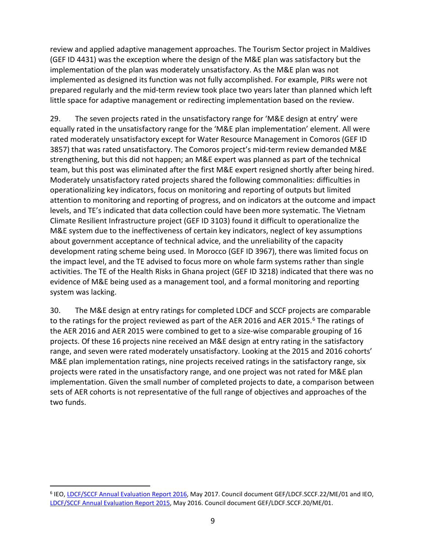review and applied adaptive management approaches. The Tourism Sector project in Maldives (GEF ID 4431) was the exception where the design of the M&E plan was satisfactory but the implementation of the plan was moderately unsatisfactory. As the M&E plan was not implemented as designed its function was not fully accomplished. For example, PIRs were not prepared regularly and the mid-term review took place two years later than planned which left little space for adaptive management or redirecting implementation based on the review.

29. The seven projects rated in the unsatisfactory range for 'M&E design at entry' were equally rated in the unsatisfactory range for the 'M&E plan implementation' element. All were rated moderately unsatisfactory except for Water Resource Management in Comoros (GEF ID 3857) that was rated unsatisfactory. The Comoros project's mid-term review demanded M&E strengthening, but this did not happen; an M&E expert was planned as part of the technical team, but this post was eliminated after the first M&E expert resigned shortly after being hired. Moderately unsatisfactory rated projects shared the following commonalities: difficulties in operationalizing key indicators, focus on monitoring and reporting of outputs but limited attention to monitoring and reporting of progress, and on indicators at the outcome and impact levels, and TE's indicated that data collection could have been more systematic. The Vietnam Climate Resilient Infrastructure project (GEF ID 3103) found it difficult to operationalize the M&E system due to the ineffectiveness of certain key indicators, neglect of key assumptions about government acceptance of technical advice, and the unreliability of the capacity development rating scheme being used. In Morocco (GEF ID 3967), there was limited focus on the impact level, and the TE advised to focus more on whole farm systems rather than single activities. The TE of the Health Risks in Ghana project (GEF ID 3218) indicated that there was no evidence of M&E being used as a management tool, and a formal monitoring and reporting system was lacking.

30. The M&E design at entry ratings for completed LDCF and SCCF projects are comparable to the ratings for the project reviewed as part of the AER 201[6](#page-15-0) and AER 2015.<sup>6</sup> The ratings of the AER 2016 and AER 2015 were combined to get to a size-wise comparable grouping of 16 projects. Of these 16 projects nine received an M&E design at entry rating in the satisfactory range, and seven were rated moderately unsatisfactory. Looking at the 2015 and 2016 cohorts' M&E plan implementation ratings, nine projects received ratings in the satisfactory range, six projects were rated in the unsatisfactory range, and one project was not rated for M&E plan implementation. Given the small number of completed projects to date, a comparison between sets of AER cohorts is not representative of the full range of objectives and approaches of the two funds.

<span id="page-15-0"></span><sup>&</sup>lt;sup>6</sup> IEO[, LDCF/SCCF Annual Evaluation Report 2016,](http://www.gefieo.org/council-documents/ldcfsccf-annual-evaluation-report-2016) May 2017. Council document GEF/LDCF.SCCF.22/ME/01 and IEO, [LDCF/SCCF Annual Evaluation Report 2015,](http://www.gefieo.org/council-documents/ldcfsccf-annual-evaluation-report-2015) May 2016. Council document GEF/LDCF.SCCF.20/ME/01.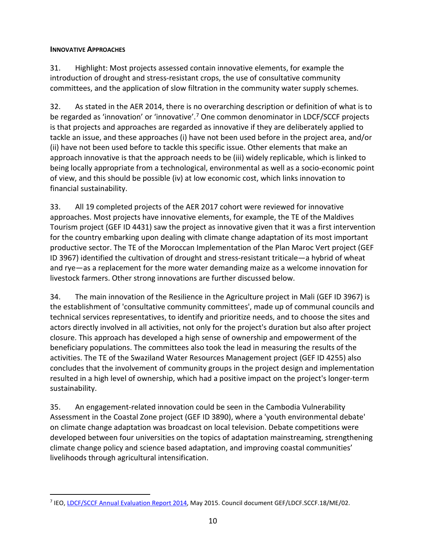## <span id="page-16-0"></span>**INNOVATIVE APPROACHES**

31. Highlight: Most projects assessed contain innovative elements, for example the introduction of drought and stress-resistant crops, the use of consultative community committees, and the application of slow filtration in the community water supply schemes.

32. As stated in the AER 2014, there is no overarching description or definition of what is to be regarded as 'innovation' or 'innovative'.<sup>[7](#page-16-1)</sup> One common denominator in LDCF/SCCF projects is that projects and approaches are regarded as innovative if they are deliberately applied to tackle an issue, and these approaches (i) have not been used before in the project area, and/or (ii) have not been used before to tackle this specific issue. Other elements that make an approach innovative is that the approach needs to be (iii) widely replicable, which is linked to being locally appropriate from a technological, environmental as well as a socio-economic point of view, and this should be possible (iv) at low economic cost, which links innovation to financial sustainability.

33. All 19 completed projects of the AER 2017 cohort were reviewed for innovative approaches. Most projects have innovative elements, for example, the TE of the Maldives Tourism project (GEF ID 4431) saw the project as innovative given that it was a first intervention for the country embarking upon dealing with climate change adaptation of its most important productive sector. The TE of the Moroccan Implementation of the Plan Maroc Vert project (GEF ID 3967) identified the cultivation of drought and stress-resistant triticale—a hybrid of wheat and rye—as a replacement for the more water demanding maize as a welcome innovation for livestock farmers. Other strong innovations are further discussed below.

34. The main innovation of the Resilience in the Agriculture project in Mali (GEF ID 3967) is the establishment of 'consultative community committees', made up of communal councils and technical services representatives, to identify and prioritize needs, and to choose the sites and actors directly involved in all activities, not only for the project's duration but also after project closure. This approach has developed a high sense of ownership and empowerment of the beneficiary populations. The committees also took the lead in measuring the results of the activities. The TE of the Swaziland Water Resources Management project (GEF ID 4255) also concludes that the involvement of community groups in the project design and implementation resulted in a high level of ownership, which had a positive impact on the project's longer-term sustainability.

35. An engagement-related innovation could be seen in the Cambodia Vulnerability Assessment in the Coastal Zone project (GEF ID 3890), where a 'youth environmental debate' on climate change adaptation was broadcast on local television. Debate competitions were developed between four universities on the topics of adaptation mainstreaming, strengthening climate change policy and science based adaptation, and improving coastal communities' livelihoods through agricultural intensification.

<span id="page-16-1"></span> <sup>7</sup> IEO[, LDCF/SCCF Annual Evaluation Report 2014,](http://www.gefieo.org/council-documents/ldcfsccf-annual-evaluation-report-2014) May 2015. Council document GEF/LDCF.SCCF.18/ME/02.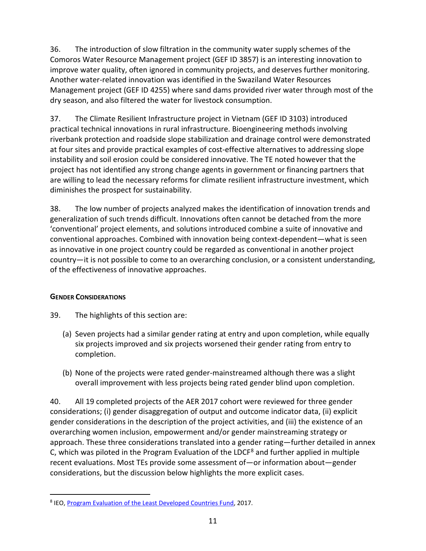36. The introduction of slow filtration in the community water supply schemes of the Comoros Water Resource Management project (GEF ID 3857) is an interesting innovation to improve water quality, often ignored in community projects, and deserves further monitoring. Another water-related innovation was identified in the Swaziland Water Resources Management project (GEF ID 4255) where sand dams provided river water through most of the dry season, and also filtered the water for livestock consumption.

37. The Climate Resilient Infrastructure project in Vietnam (GEF ID 3103) introduced practical technical innovations in rural infrastructure. Bioengineering methods involving riverbank protection and roadside slope stabilization and drainage control were demonstrated at four sites and provide practical examples of cost-effective alternatives to addressing slope instability and soil erosion could be considered innovative. The TE noted however that the project has not identified any strong change agents in government or financing partners that are willing to lead the necessary reforms for climate resilient infrastructure investment, which diminishes the prospect for sustainability.

38. The low number of projects analyzed makes the identification of innovation trends and generalization of such trends difficult. Innovations often cannot be detached from the more 'conventional' project elements, and solutions introduced combine a suite of innovative and conventional approaches. Combined with innovation being context-dependent—what is seen as innovative in one project country could be regarded as conventional in another project country—it is not possible to come to an overarching conclusion, or a consistent understanding, of the effectiveness of innovative approaches.

# <span id="page-17-0"></span>**GENDER CONSIDERATIONS**

- 39. The highlights of this section are:
	- (a) Seven projects had a similar gender rating at entry and upon completion, while equally six projects improved and six projects worsened their gender rating from entry to completion.
	- (b) None of the projects were rated gender-mainstreamed although there was a slight overall improvement with less projects being rated gender blind upon completion.

40. All 19 completed projects of the AER 2017 cohort were reviewed for three gender considerations; (i) gender disaggregation of output and outcome indicator data, (ii) explicit gender considerations in the description of the project activities, and (iii) the existence of an overarching women inclusion, empowerment and/or gender mainstreaming strategy or approach. These three considerations translated into a gender rating—further detailed in annex C, which was piloted in the Program Evaluation of the LDCF<sup>[8](#page-17-1)</sup> and further applied in multiple recent evaluations. Most TEs provide some assessment of—or information about—gender considerations, but the discussion below highlights the more explicit cases.

<span id="page-17-1"></span> <sup>8</sup> IEO[, Program Evaluation of the Least Developed Countries Fund,](http://www.gefieo.org/evaluations/least-developed-countries-fund-ldcf-2016) 2017.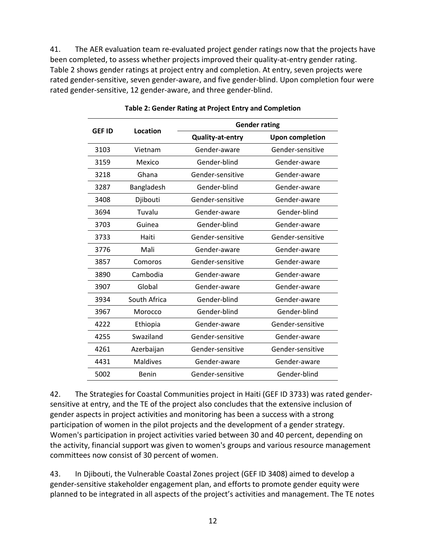41. The AER evaluation team re-evaluated project gender ratings now that the projects have been completed, to assess whether projects improved their quality-at-entry gender rating. Table 2 shows gender ratings at project entry and completion. At entry, seven projects were rated gender-sensitive, seven gender-aware, and five gender-blind. Upon completion four were rated gender-sensitive, 12 gender-aware, and three gender-blind.

<span id="page-18-0"></span>

| <b>GEF ID</b> | Location        | <b>Gender rating</b>    |                        |  |  |  |  |
|---------------|-----------------|-------------------------|------------------------|--|--|--|--|
|               |                 | <b>Quality-at-entry</b> | <b>Upon completion</b> |  |  |  |  |
| 3103          | Vietnam         | Gender-aware            | Gender-sensitive       |  |  |  |  |
| 3159          | Mexico          | Gender-blind            | Gender-aware           |  |  |  |  |
| 3218          | Ghana           | Gender-sensitive        | Gender-aware           |  |  |  |  |
| 3287          | Bangladesh      | Gender-blind            | Gender-aware           |  |  |  |  |
| 3408          | Djibouti        | Gender-sensitive        | Gender-aware           |  |  |  |  |
| 3694          | Tuvalu          | Gender-aware            | Gender-blind           |  |  |  |  |
| 3703          | Guinea          | Gender-blind            | Gender-aware           |  |  |  |  |
| 3733          | Haiti           | Gender-sensitive        | Gender-sensitive       |  |  |  |  |
| 3776          | Mali            | Gender-aware            | Gender-aware           |  |  |  |  |
| 3857          | Comoros         | Gender-sensitive        | Gender-aware           |  |  |  |  |
| 3890          | Cambodia        | Gender-aware            | Gender-aware           |  |  |  |  |
| 3907          | Global          | Gender-aware            | Gender-aware           |  |  |  |  |
| 3934          | South Africa    | Gender-blind            | Gender-aware           |  |  |  |  |
| 3967          | Morocco         | Gender-blind            | Gender-blind           |  |  |  |  |
| 4222          | Ethiopia        | Gender-aware            | Gender-sensitive       |  |  |  |  |
| 4255          | Swaziland       | Gender-sensitive        | Gender-aware           |  |  |  |  |
| 4261          | Azerbaijan      | Gender-sensitive        | Gender-sensitive       |  |  |  |  |
| 4431          | <b>Maldives</b> | Gender-aware            | Gender-aware           |  |  |  |  |
| 5002          | Benin           | Gender-sensitive        | Gender-blind           |  |  |  |  |

|  | Table 2: Gender Rating at Project Entry and Completion |  |  |  |  |
|--|--------------------------------------------------------|--|--|--|--|
|  |                                                        |  |  |  |  |

42. The Strategies for Coastal Communities project in Haiti (GEF ID 3733) was rated gendersensitive at entry, and the TE of the project also concludes that the extensive inclusion of gender aspects in project activities and monitoring has been a success with a strong participation of women in the pilot projects and the development of a gender strategy. Women's participation in project activities varied between 30 and 40 percent, depending on the activity, financial support was given to women's groups and various resource management committees now consist of 30 percent of women.

43. In Djibouti, the Vulnerable Coastal Zones project (GEF ID 3408) aimed to develop a gender-sensitive stakeholder engagement plan, and efforts to promote gender equity were planned to be integrated in all aspects of the project's activities and management. The TE notes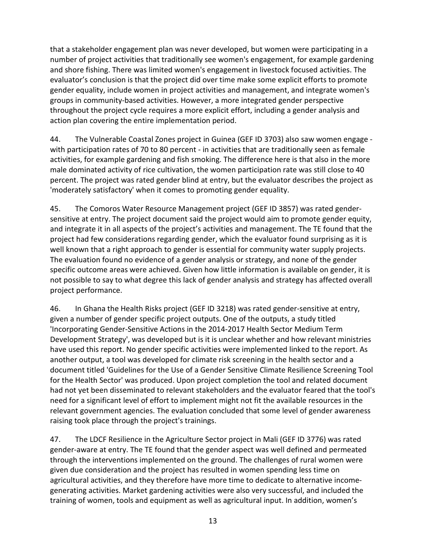that a stakeholder engagement plan was never developed, but women were participating in a number of project activities that traditionally see women's engagement, for example gardening and shore fishing. There was limited women's engagement in livestock focused activities. The evaluator's conclusion is that the project did over time make some explicit efforts to promote gender equality, include women in project activities and management, and integrate women's groups in community-based activities. However, a more integrated gender perspective throughout the project cycle requires a more explicit effort, including a gender analysis and action plan covering the entire implementation period.

44. The Vulnerable Coastal Zones project in Guinea (GEF ID 3703) also saw women engage with participation rates of 70 to 80 percent - in activities that are traditionally seen as female activities, for example gardening and fish smoking. The difference here is that also in the more male dominated activity of rice cultivation, the women participation rate was still close to 40 percent. The project was rated gender blind at entry, but the evaluator describes the project as 'moderately satisfactory' when it comes to promoting gender equality.

45. The Comoros Water Resource Management project (GEF ID 3857) was rated gendersensitive at entry. The project document said the project would aim to promote gender equity, and integrate it in all aspects of the project's activities and management. The TE found that the project had few considerations regarding gender, which the evaluator found surprising as it is well known that a right approach to gender is essential for community water supply projects. The evaluation found no evidence of a gender analysis or strategy, and none of the gender specific outcome areas were achieved. Given how little information is available on gender, it is not possible to say to what degree this lack of gender analysis and strategy has affected overall project performance.

46. In Ghana the Health Risks project (GEF ID 3218) was rated gender-sensitive at entry, given a number of gender specific project outputs. One of the outputs, a study titled 'Incorporating Gender-Sensitive Actions in the 2014-2017 Health Sector Medium Term Development Strategy', was developed but is it is unclear whether and how relevant ministries have used this report. No gender specific activities were implemented linked to the report. As another output, a tool was developed for climate risk screening in the health sector and a document titled 'Guidelines for the Use of a Gender Sensitive Climate Resilience Screening Tool for the Health Sector' was produced. Upon project completion the tool and related document had not yet been disseminated to relevant stakeholders and the evaluator feared that the tool's need for a significant level of effort to implement might not fit the available resources in the relevant government agencies. The evaluation concluded that some level of gender awareness raising took place through the project's trainings.

47. The LDCF Resilience in the Agriculture Sector project in Mali (GEF ID 3776) was rated gender-aware at entry. The TE found that the gender aspect was well defined and permeated through the interventions implemented on the ground. The challenges of rural women were given due consideration and the project has resulted in women spending less time on agricultural activities, and they therefore have more time to dedicate to alternative incomegenerating activities. Market gardening activities were also very successful, and included the training of women, tools and equipment as well as agricultural input. In addition, women's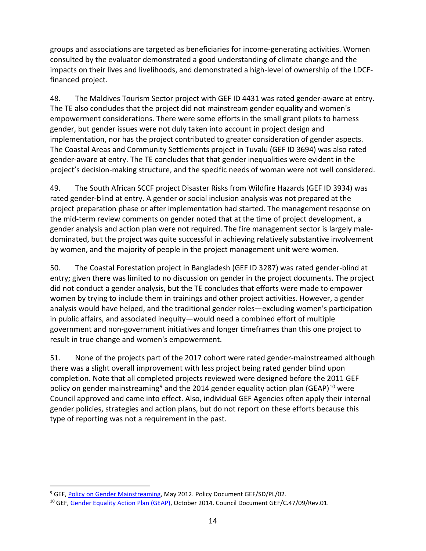groups and associations are targeted as beneficiaries for income-generating activities. Women consulted by the evaluator demonstrated a good understanding of climate change and the impacts on their lives and livelihoods, and demonstrated a high-level of ownership of the LDCFfinanced project.

48. The Maldives Tourism Sector project with GEF ID 4431 was rated gender-aware at entry. The TE also concludes that the project did not mainstream gender equality and women's empowerment considerations. There were some efforts in the small grant pilots to harness gender, but gender issues were not duly taken into account in project design and implementation, nor has the project contributed to greater consideration of gender aspects. The Coastal Areas and Community Settlements project in Tuvalu (GEF ID 3694) was also rated gender-aware at entry. The TE concludes that that gender inequalities were evident in the project's decision-making structure, and the specific needs of woman were not well considered.

49. The South African SCCF project Disaster Risks from Wildfire Hazards (GEF ID 3934) was rated gender-blind at entry. A gender or social inclusion analysis was not prepared at the project preparation phase or after implementation had started. The management response on the mid-term review comments on gender noted that at the time of project development, a gender analysis and action plan were not required. The fire management sector is largely maledominated, but the project was quite successful in achieving relatively substantive involvement by women, and the majority of people in the project management unit were women.

50. The Coastal Forestation project in Bangladesh (GEF ID 3287) was rated gender-blind at entry; given there was limited to no discussion on gender in the project documents. The project did not conduct a gender analysis, but the TE concludes that efforts were made to empower women by trying to include them in trainings and other project activities. However, a gender analysis would have helped, and the traditional gender roles—excluding women's participation in public affairs, and associated inequity—would need a combined effort of multiple government and non-government initiatives and longer timeframes than this one project to result in true change and women's empowerment.

51. None of the projects part of the 2017 cohort were rated gender-mainstreamed although there was a slight overall improvement with less project being rated gender blind upon completion. Note that all completed projects reviewed were designed before the 2011 GEF policy on gender mainstreaming<sup>[9](#page-20-0)</sup> and the 2014 gender equality action plan (GEAP)<sup>[10](#page-20-1)</sup> were Council approved and came into effect. Also, individual GEF Agencies often apply their internal gender policies, strategies and action plans, but do not report on these efforts because this type of reporting was not a requirement in the past.

<span id="page-20-0"></span><sup>&</sup>lt;sup>9</sup> GEF, [Policy on Gender Mainstreaming,](http://www.thegef.org/documents/gender-mainstreaming) May 2012. Policy Document GEF/SD/PL/02.

<span id="page-20-1"></span><sup>&</sup>lt;sup>10</sup> GEF, [Gender Equality Action Plan \(GEAP\),](https://www.thegef.org/council-meeting-documents/gender-equality-action-plan-0) October 2014. Council Document GEF/C.47/09/Rev.01.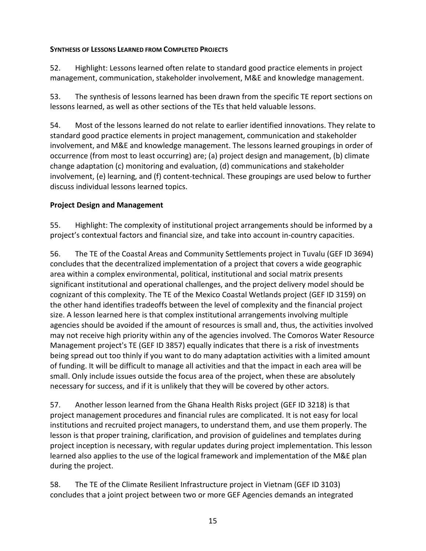## <span id="page-21-0"></span>**SYNTHESIS OF LESSONS LEARNED FROM COMPLETED PROJECTS**

52. Highlight: Lessons learned often relate to standard good practice elements in project management, communication, stakeholder involvement, M&E and knowledge management.

53. The synthesis of lessons learned has been drawn from the specific TE report sections on lessons learned, as well as other sections of the TEs that held valuable lessons.

54. Most of the lessons learned do not relate to earlier identified innovations. They relate to standard good practice elements in project management, communication and stakeholder involvement, and M&E and knowledge management. The lessons learned groupings in order of occurrence (from most to least occurring) are; (a) project design and management, (b) climate change adaptation (c) monitoring and evaluation, (d) communications and stakeholder involvement, (e) learning, and (f) content-technical. These groupings are used below to further discuss individual lessons learned topics.

# <span id="page-21-1"></span>**Project Design and Management**

55. Highlight: The complexity of institutional project arrangements should be informed by a project's contextual factors and financial size, and take into account in-country capacities.

56. The TE of the Coastal Areas and Community Settlements project in Tuvalu (GEF ID 3694) concludes that the decentralized implementation of a project that covers a wide geographic area within a complex environmental, political, institutional and social matrix presents significant institutional and operational challenges, and the project delivery model should be cognizant of this complexity. The TE of the Mexico Coastal Wetlands project (GEF ID 3159) on the other hand identifies tradeoffs between the level of complexity and the financial project size. A lesson learned here is that complex institutional arrangements involving multiple agencies should be avoided if the amount of resources is small and, thus, the activities involved may not receive high priority within any of the agencies involved. The Comoros Water Resource Management project's TE (GEF ID 3857) equally indicates that there is a risk of investments being spread out too thinly if you want to do many adaptation activities with a limited amount of funding. It will be difficult to manage all activities and that the impact in each area will be small. Only include issues outside the focus area of the project, when these are absolutely necessary for success, and if it is unlikely that they will be covered by other actors.

57. Another lesson learned from the Ghana Health Risks project (GEF ID 3218) is that project management procedures and financial rules are complicated. It is not easy for local institutions and recruited project managers, to understand them, and use them properly. The lesson is that proper training, clarification, and provision of guidelines and templates during project inception is necessary, with regular updates during project implementation. This lesson learned also applies to the use of the logical framework and implementation of the M&E plan during the project.

58. The TE of the Climate Resilient Infrastructure project in Vietnam (GEF ID 3103) concludes that a joint project between two or more GEF Agencies demands an integrated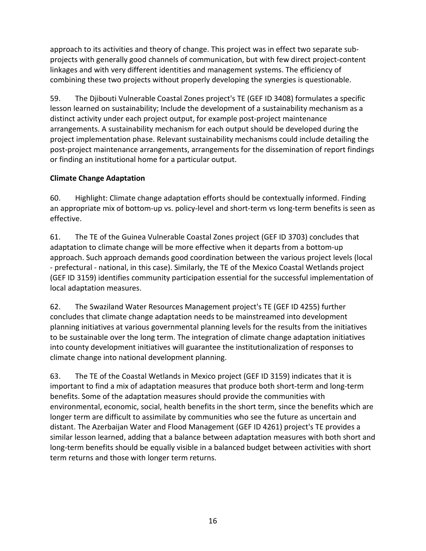approach to its activities and theory of change. This project was in effect two separate subprojects with generally good channels of communication, but with few direct project-content linkages and with very different identities and management systems. The efficiency of combining these two projects without properly developing the synergies is questionable.

59. The Djibouti Vulnerable Coastal Zones project's TE (GEF ID 3408) formulates a specific lesson learned on sustainability; Include the development of a sustainability mechanism as a distinct activity under each project output, for example post-project maintenance arrangements. A sustainability mechanism for each output should be developed during the project implementation phase. Relevant sustainability mechanisms could include detailing the post-project maintenance arrangements, arrangements for the dissemination of report findings or finding an institutional home for a particular output.

# <span id="page-22-0"></span>**Climate Change Adaptation**

60. Highlight: Climate change adaptation efforts should be contextually informed. Finding an appropriate mix of bottom-up vs. policy-level and short-term vs long-term benefits is seen as effective.

61. The TE of the Guinea Vulnerable Coastal Zones project (GEF ID 3703) concludes that adaptation to climate change will be more effective when it departs from a bottom-up approach. Such approach demands good coordination between the various project levels (local - prefectural - national, in this case). Similarly, the TE of the Mexico Coastal Wetlands project (GEF ID 3159) identifies community participation essential for the successful implementation of local adaptation measures.

62. The Swaziland Water Resources Management project's TE (GEF ID 4255) further concludes that climate change adaptation needs to be mainstreamed into development planning initiatives at various governmental planning levels for the results from the initiatives to be sustainable over the long term. The integration of climate change adaptation initiatives into county development initiatives will guarantee the institutionalization of responses to climate change into national development planning.

63. The TE of the Coastal Wetlands in Mexico project (GEF ID 3159) indicates that it is important to find a mix of adaptation measures that produce both short-term and long-term benefits. Some of the adaptation measures should provide the communities with environmental, economic, social, health benefits in the short term, since the benefits which are longer term are difficult to assimilate by communities who see the future as uncertain and distant. The Azerbaijan Water and Flood Management (GEF ID 4261) project's TE provides a similar lesson learned, adding that a balance between adaptation measures with both short and long-term benefits should be equally visible in a balanced budget between activities with short term returns and those with longer term returns.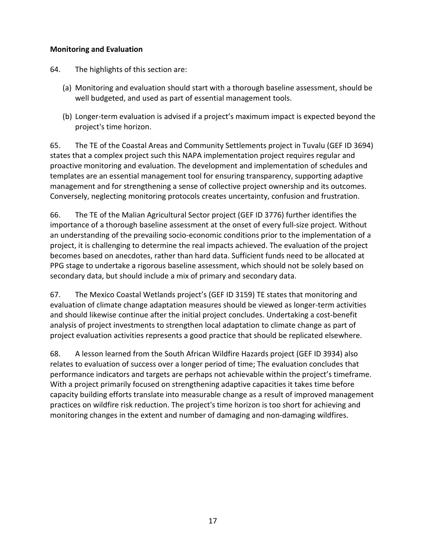# <span id="page-23-0"></span>**Monitoring and Evaluation**

- 64. The highlights of this section are:
	- (a) Monitoring and evaluation should start with a thorough baseline assessment, should be well budgeted, and used as part of essential management tools.
	- (b) Longer-term evaluation is advised if a project's maximum impact is expected beyond the project's time horizon.

65. The TE of the Coastal Areas and Community Settlements project in Tuvalu (GEF ID 3694) states that a complex project such this NAPA implementation project requires regular and proactive monitoring and evaluation. The development and implementation of schedules and templates are an essential management tool for ensuring transparency, supporting adaptive management and for strengthening a sense of collective project ownership and its outcomes. Conversely, neglecting monitoring protocols creates uncertainty, confusion and frustration.

66. The TE of the Malian Agricultural Sector project (GEF ID 3776) further identifies the importance of a thorough baseline assessment at the onset of every full-size project. Without an understanding of the prevailing socio-economic conditions prior to the implementation of a project, it is challenging to determine the real impacts achieved. The evaluation of the project becomes based on anecdotes, rather than hard data. Sufficient funds need to be allocated at PPG stage to undertake a rigorous baseline assessment, which should not be solely based on secondary data, but should include a mix of primary and secondary data.

67. The Mexico Coastal Wetlands project's (GEF ID 3159) TE states that monitoring and evaluation of climate change adaptation measures should be viewed as longer-term activities and should likewise continue after the initial project concludes. Undertaking a cost-benefit analysis of project investments to strengthen local adaptation to climate change as part of project evaluation activities represents a good practice that should be replicated elsewhere.

68. A lesson learned from the South African Wildfire Hazards project (GEF ID 3934) also relates to evaluation of success over a longer period of time; The evaluation concludes that performance indicators and targets are perhaps not achievable within the project's timeframe. With a project primarily focused on strengthening adaptive capacities it takes time before capacity building efforts translate into measurable change as a result of improved management practices on wildfire risk reduction. The project's time horizon is too short for achieving and monitoring changes in the extent and number of damaging and non-damaging wildfires.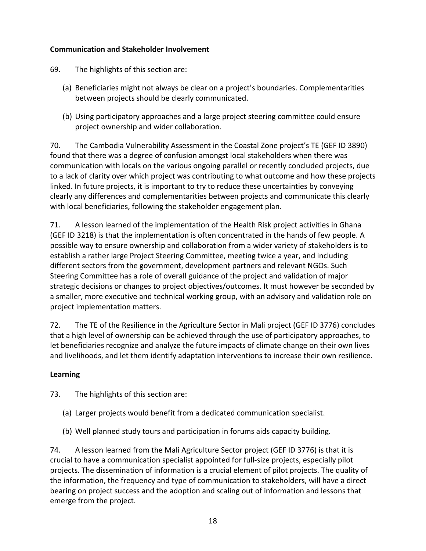# <span id="page-24-0"></span>**Communication and Stakeholder Involvement**

- 69. The highlights of this section are:
	- (a) Beneficiaries might not always be clear on a project's boundaries. Complementarities between projects should be clearly communicated.
	- (b) Using participatory approaches and a large project steering committee could ensure project ownership and wider collaboration.

70. The Cambodia Vulnerability Assessment in the Coastal Zone project's TE (GEF ID 3890) found that there was a degree of confusion amongst local stakeholders when there was communication with locals on the various ongoing parallel or recently concluded projects, due to a lack of clarity over which project was contributing to what outcome and how these projects linked. In future projects, it is important to try to reduce these uncertainties by conveying clearly any differences and complementarities between projects and communicate this clearly with local beneficiaries, following the stakeholder engagement plan.

71. A lesson learned of the implementation of the Health Risk project activities in Ghana (GEF ID 3218) is that the implementation is often concentrated in the hands of few people. A possible way to ensure ownership and collaboration from a wider variety of stakeholders is to establish a rather large Project Steering Committee, meeting twice a year, and including different sectors from the government, development partners and relevant NGOs. Such Steering Committee has a role of overall guidance of the project and validation of major strategic decisions or changes to project objectives/outcomes. It must however be seconded by a smaller, more executive and technical working group, with an advisory and validation role on project implementation matters.

72. The TE of the Resilience in the Agriculture Sector in Mali project (GEF ID 3776) concludes that a high level of ownership can be achieved through the use of participatory approaches, to let beneficiaries recognize and analyze the future impacts of climate change on their own lives and livelihoods, and let them identify adaptation interventions to increase their own resilience.

# <span id="page-24-1"></span>**Learning**

73. The highlights of this section are:

- (a) Larger projects would benefit from a dedicated communication specialist.
- (b) Well planned study tours and participation in forums aids capacity building.

74. A lesson learned from the Mali Agriculture Sector project (GEF ID 3776) is that it is crucial to have a communication specialist appointed for full-size projects, especially pilot projects. The dissemination of information is a crucial element of pilot projects. The quality of the information, the frequency and type of communication to stakeholders, will have a direct bearing on project success and the adoption and scaling out of information and lessons that emerge from the project.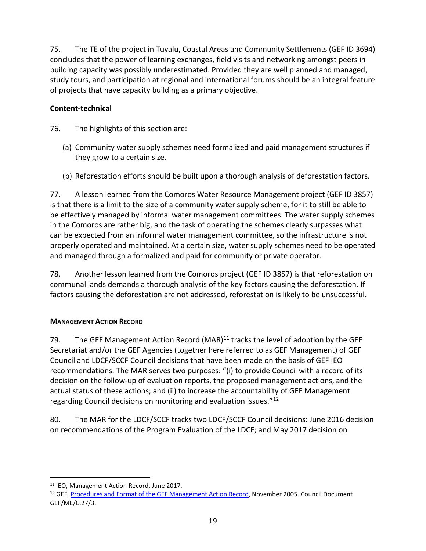75. The TE of the project in Tuvalu, Coastal Areas and Community Settlements (GEF ID 3694) concludes that the power of learning exchanges, field visits and networking amongst peers in building capacity was possibly underestimated. Provided they are well planned and managed, study tours, and participation at regional and international forums should be an integral feature of projects that have capacity building as a primary objective.

# <span id="page-25-0"></span>**Content-technical**

- 76. The highlights of this section are:
	- (a) Community water supply schemes need formalized and paid management structures if they grow to a certain size.
	- (b) Reforestation efforts should be built upon a thorough analysis of deforestation factors.

77. A lesson learned from the Comoros Water Resource Management project (GEF ID 3857) is that there is a limit to the size of a community water supply scheme, for it to still be able to be effectively managed by informal water management committees. The water supply schemes in the Comoros are rather big, and the task of operating the schemes clearly surpasses what can be expected from an informal water management committee, so the infrastructure is not properly operated and maintained. At a certain size, water supply schemes need to be operated and managed through a formalized and paid for community or private operator.

78. Another lesson learned from the Comoros project (GEF ID 3857) is that reforestation on communal lands demands a thorough analysis of the key factors causing the deforestation. If factors causing the deforestation are not addressed, reforestation is likely to be unsuccessful.

# <span id="page-25-1"></span>**MANAGEMENT ACTION RECORD**

79. The GEF Management Action Record (MAR)<sup>11</sup> tracks the level of adoption by the GEF Secretariat and/or the GEF Agencies (together here referred to as GEF Management) of GEF Council and LDCF/SCCF Council decisions that have been made on the basis of GEF IEO recommendations. The MAR serves two purposes: "(i) to provide Council with a record of its decision on the follow-up of evaluation reports, the proposed management actions, and the actual status of these actions; and (ii) to increase the accountability of GEF Management regarding Council decisions on monitoring and evaluation issues."[12](#page-25-3)

80. The MAR for the LDCF/SCCF tracks two LDCF/SCCF Council decisions: June 2016 decision on recommendations of the Program Evaluation of the LDCF; and May 2017 decision on

<span id="page-25-2"></span><sup>&</sup>lt;sup>11</sup> IEO, Management Action Record, June 2017.

<span id="page-25-3"></span><sup>&</sup>lt;sup>12</sup> GEF[, Procedures and Format of the GEF Management Action Record,](https://www.thegef.org/council-meeting-documents/procedures-and-format-gef-management-action-record) November 2005. Council Document GEF/ME/C.27/3.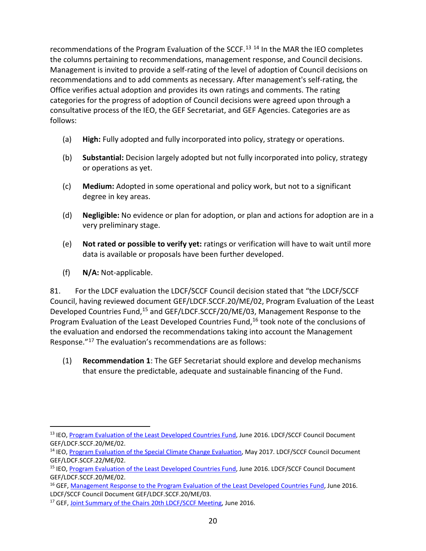recommendations of the Program Evaluation of the SCCF.<sup>[13](#page-26-0) [14](#page-26-1)</sup> In the MAR the IEO completes the columns pertaining to recommendations, management response, and Council decisions. Management is invited to provide a self-rating of the level of adoption of Council decisions on recommendations and to add comments as necessary. After management's self-rating, the Office verifies actual adoption and provides its own ratings and comments. The rating categories for the progress of adoption of Council decisions were agreed upon through a consultative process of the IEO, the GEF Secretariat, and GEF Agencies. Categories are as follows:

- (a) **High:** Fully adopted and fully incorporated into policy, strategy or operations.
- (b) **Substantial:** Decision largely adopted but not fully incorporated into policy, strategy or operations as yet.
- (c) **Medium:** Adopted in some operational and policy work, but not to a significant degree in key areas.
- (d) **Negligible:** No evidence or plan for adoption, or plan and actions for adoption are in a very preliminary stage.
- (e) **Not rated or possible to verify yet:** ratings or verification will have to wait until more data is available or proposals have been further developed.
- (f) **N/A:** Not-applicable.

81. For the LDCF evaluation the LDCF/SCCF Council decision stated that "the LDCF/SCCF Council, having reviewed document GEF/LDCF.SCCF.20/ME/02, Program Evaluation of the Least Developed Countries Fund,<sup>[15](#page-26-2)</sup> and GEF/LDCF.SCCF/20/ME/03, Management Response to the Program Evaluation of the Least Developed Countries Fund,<sup>[16](#page-26-3)</sup> took note of the conclusions of the evaluation and endorsed the recommendations taking into account the Management Response."[17](#page-26-4) The evaluation's recommendations are as follows:

(1) **Recommendation 1**: The GEF Secretariat should explore and develop mechanisms that ensure the predictable, adequate and sustainable financing of the Fund.

<span id="page-26-0"></span><sup>&</sup>lt;sup>13</sup> IEO[, Program Evaluation of the Least Developed Countries Fund,](https://www.thegef.org/council-meeting-documents/program-evaluation-least-developed-countries-fund-report) June 2016. LDCF/SCCF Council Document GEF/LDCF.SCCF.20/ME/02.

<span id="page-26-1"></span><sup>&</sup>lt;sup>14</sup> IEO[, Program Evaluation of the Special Climate Change Evaluation,](http://www.thegef.org/council-meeting-documents/program-evaluation-special-climate-change-fund) May 2017. LDCF/SCCF Council Document GEF/LDCF.SCCF.22/ME/02.

<span id="page-26-2"></span><sup>&</sup>lt;sup>15</sup> IEO[, Program Evaluation of the Least Developed Countries Fund,](https://www.thegef.org/council-meeting-documents/program-evaluation-least-developed-countries-fund-report) June 2016. LDCF/SCCF Council Document GEF/LDCF.SCCF.20/ME/02.

<span id="page-26-3"></span><sup>&</sup>lt;sup>16</sup> GEF, [Management Response to the Program Evaluation of the Least Developed Countries Fund,](https://www.thegef.org/council-meeting-documents/management-response-program-evaluation-least-developed-countries-fund) June 2016. LDCF/SCCF Council Document GEF/LDCF.SCCF.20/ME/03.

<span id="page-26-4"></span><sup>&</sup>lt;sup>17</sup> GEF, [Joint Summary of the Chairs 20th](https://www.thegef.org/council-meeting-documents/joint-summary-chairs-ldcfsccf-20) LDCF/SCCF Meeting, June 2016.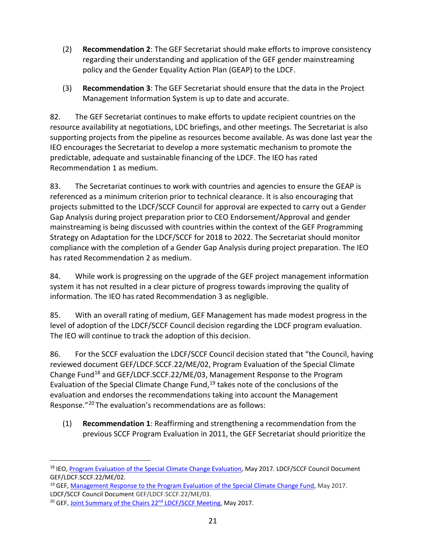- (2) **Recommendation 2**: The GEF Secretariat should make efforts to improve consistency regarding their understanding and application of the GEF gender mainstreaming policy and the Gender Equality Action Plan (GEAP) to the LDCF.
- (3) **Recommendation 3**: The GEF Secretariat should ensure that the data in the Project Management Information System is up to date and accurate.

82. The GEF Secretariat continues to make efforts to update recipient countries on the resource availability at negotiations, LDC briefings, and other meetings. The Secretariat is also supporting projects from the pipeline as resources become available. As was done last year the IEO encourages the Secretariat to develop a more systematic mechanism to promote the predictable, adequate and sustainable financing of the LDCF. The IEO has rated Recommendation 1 as medium.

83. The Secretariat continues to work with countries and agencies to ensure the GEAP is referenced as a minimum criterion prior to technical clearance. It is also encouraging that projects submitted to the LDCF/SCCF Council for approval are expected to carry out a Gender Gap Analysis during project preparation prior to CEO Endorsement/Approval and gender mainstreaming is being discussed with countries within the context of the GEF Programming Strategy on Adaptation for the LDCF/SCCF for 2018 to 2022. The Secretariat should monitor compliance with the completion of a Gender Gap Analysis during project preparation. The IEO has rated Recommendation 2 as medium.

84. While work is progressing on the upgrade of the GEF project management information system it has not resulted in a clear picture of progress towards improving the quality of information. The IEO has rated Recommendation 3 as negligible.

85. With an overall rating of medium, GEF Management has made modest progress in the level of adoption of the LDCF/SCCF Council decision regarding the LDCF program evaluation. The IEO will continue to track the adoption of this decision.

86. For the SCCF evaluation the LDCF/SCCF Council decision stated that "the Council, having reviewed document GEF/LDCF.SCCF.22/ME/02, Program Evaluation of the Special Climate Change Fund[18](#page-27-0) and GEF/LDCF.SCCF.22/ME/03, Management Response to the Program Evaluation of the Special Climate Change Fund, $19$  takes note of the conclusions of the evaluation and endorses the recommendations taking into account the Management Response."[20](#page-27-2) The evaluation's recommendations are as follows:

(1) **Recommendation 1**: Reaffirming and strengthening a recommendation from the previous SCCF Program Evaluation in 2011, the GEF Secretariat should prioritize the

<span id="page-27-0"></span><sup>&</sup>lt;sup>18</sup> IEO[, Program Evaluation of the Special Climate Change Evaluation,](http://www.thegef.org/council-meeting-documents/program-evaluation-special-climate-change-fund) May 2017. LDCF/SCCF Council Document GEF/LDCF.SCCF.22/ME/02.

<span id="page-27-1"></span><sup>&</sup>lt;sup>19</sup> GEF, [Management Response to the Program Evaluation of the Special Climate Change Fund,](http://www.thegef.org/council-meeting-documents/management-response-program-evaluation-special-climate-change-fund) May 2017. LDCF/SCCF Council Document GEF/LDCF.SCCF.22/ME/03.

<span id="page-27-2"></span><sup>&</sup>lt;sup>20</sup> GEF, Joint Summary of the Chairs 22<sup>nd</sup> LDCF/SCCF Meeting, May 2017.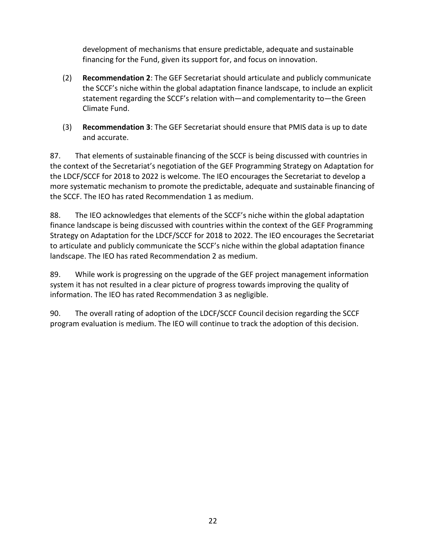development of mechanisms that ensure predictable, adequate and sustainable financing for the Fund, given its support for, and focus on innovation.

- (2) **Recommendation 2**: The GEF Secretariat should articulate and publicly communicate the SCCF's niche within the global adaptation finance landscape, to include an explicit statement regarding the SCCF's relation with—and complementarity to—the Green Climate Fund.
- (3) **Recommendation 3**: The GEF Secretariat should ensure that PMIS data is up to date and accurate.

87. That elements of sustainable financing of the SCCF is being discussed with countries in the context of the Secretariat's negotiation of the GEF Programming Strategy on Adaptation for the LDCF/SCCF for 2018 to 2022 is welcome. The IEO encourages the Secretariat to develop a more systematic mechanism to promote the predictable, adequate and sustainable financing of the SCCF. The IEO has rated Recommendation 1 as medium.

88. The IEO acknowledges that elements of the SCCF's niche within the global adaptation finance landscape is being discussed with countries within the context of the GEF Programming Strategy on Adaptation for the LDCF/SCCF for 2018 to 2022. The IEO encourages the Secretariat to articulate and publicly communicate the SCCF's niche within the global adaptation finance landscape. The IEO has rated Recommendation 2 as medium.

89. While work is progressing on the upgrade of the GEF project management information system it has not resulted in a clear picture of progress towards improving the quality of information. The IEO has rated Recommendation 3 as negligible.

90. The overall rating of adoption of the LDCF/SCCF Council decision regarding the SCCF program evaluation is medium. The IEO will continue to track the adoption of this decision.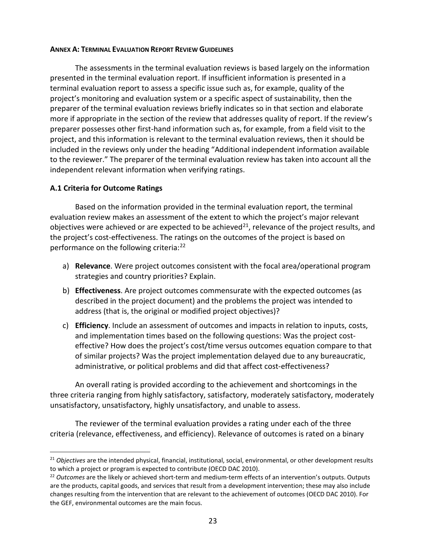#### <span id="page-29-0"></span>**ANNEX A: TERMINAL EVALUATION REPORT REVIEW GUIDELINES**

The assessments in the terminal evaluation reviews is based largely on the information presented in the terminal evaluation report. If insufficient information is presented in a terminal evaluation report to assess a specific issue such as, for example, quality of the project's monitoring and evaluation system or a specific aspect of sustainability, then the preparer of the terminal evaluation reviews briefly indicates so in that section and elaborate more if appropriate in the section of the review that addresses quality of report. If the review's preparer possesses other first-hand information such as, for example, from a field visit to the project, and this information is relevant to the terminal evaluation reviews, then it should be included in the reviews only under the heading "Additional independent information available to the reviewer." The preparer of the terminal evaluation review has taken into account all the independent relevant information when verifying ratings.

## **A.1 Criteria for Outcome Ratings**

Based on the information provided in the terminal evaluation report, the terminal evaluation review makes an assessment of the extent to which the project's major relevant objectives were achieved or are expected to be achieved $^{21}$  $^{21}$  $^{21}$ , relevance of the project results, and the project's cost-effectiveness. The ratings on the outcomes of the project is based on performance on the following criteria:[22](#page-29-2)

- a) **Relevance**. Were project outcomes consistent with the focal area/operational program strategies and country priorities? Explain.
- b) **Effectiveness**. Are project outcomes commensurate with the expected outcomes (as described in the project document) and the problems the project was intended to address (that is, the original or modified project objectives)?
- c) **Efficiency**. Include an assessment of outcomes and impacts in relation to inputs, costs, and implementation times based on the following questions: Was the project costeffective? How does the project's cost/time versus outcomes equation compare to that of similar projects? Was the project implementation delayed due to any bureaucratic, administrative, or political problems and did that affect cost-effectiveness?

An overall rating is provided according to the achievement and shortcomings in the three criteria ranging from highly satisfactory, satisfactory, moderately satisfactory, moderately unsatisfactory, unsatisfactory, highly unsatisfactory, and unable to assess.

The reviewer of the terminal evaluation provides a rating under each of the three criteria (relevance, effectiveness, and efficiency). Relevance of outcomes is rated on a binary

<span id="page-29-1"></span><sup>&</sup>lt;sup>21</sup> *Objectives* are the intended physical, financial, institutional, social, environmental, or other development results to which a project or program is expected to contribute (OECD DAC 2010).

<span id="page-29-2"></span><sup>22</sup> *Outcomes* are the likely or achieved short-term and medium-term effects of an intervention's outputs. Outputs are the products, capital goods, and services that result from a development intervention; these may also include changes resulting from the intervention that are relevant to the achievement of outcomes (OECD DAC 2010). For the GEF, environmental outcomes are the main focus.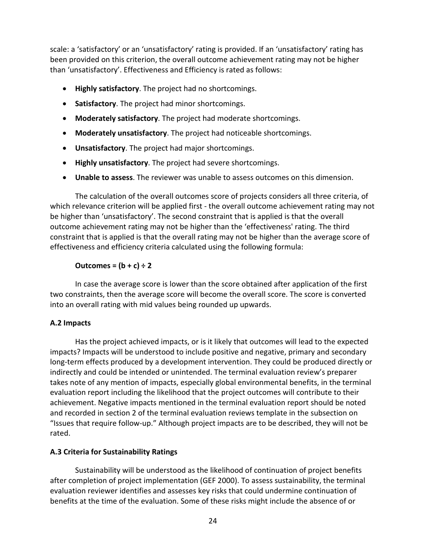scale: a 'satisfactory' or an 'unsatisfactory' rating is provided. If an 'unsatisfactory' rating has been provided on this criterion, the overall outcome achievement rating may not be higher than 'unsatisfactory'. Effectiveness and Efficiency is rated as follows:

- **Highly satisfactory**. The project had no shortcomings.
- **Satisfactory**. The project had minor shortcomings.
- **Moderately satisfactory**. The project had moderate shortcomings.
- **Moderately unsatisfactory**. The project had noticeable shortcomings.
- **Unsatisfactory**. The project had major shortcomings.
- **Highly unsatisfactory**. The project had severe shortcomings.
- **Unable to assess**. The reviewer was unable to assess outcomes on this dimension.

The calculation of the overall outcomes score of projects considers all three criteria, of which relevance criterion will be applied first - the overall outcome achievement rating may not be higher than 'unsatisfactory'. The second constraint that is applied is that the overall outcome achievement rating may not be higher than the 'effectiveness' rating. The third constraint that is applied is that the overall rating may not be higher than the average score of effectiveness and efficiency criteria calculated using the following formula:

# **Outcomes =**  $(b + c) \div 2$

In case the average score is lower than the score obtained after application of the first two constraints, then the average score will become the overall score. The score is converted into an overall rating with mid values being rounded up upwards.

# **A.2 Impacts**

Has the project achieved impacts, or is it likely that outcomes will lead to the expected impacts? Impacts will be understood to include positive and negative, primary and secondary long-term effects produced by a development intervention. They could be produced directly or indirectly and could be intended or unintended. The terminal evaluation review's preparer takes note of any mention of impacts, especially global environmental benefits, in the terminal evaluation report including the likelihood that the project outcomes will contribute to their achievement. Negative impacts mentioned in the terminal evaluation report should be noted and recorded in section 2 of the terminal evaluation reviews template in the subsection on "Issues that require follow-up." Although project impacts are to be described, they will not be rated.

# **A.3 Criteria for Sustainability Ratings**

Sustainability will be understood as the likelihood of continuation of project benefits after completion of project implementation (GEF 2000). To assess sustainability, the terminal evaluation reviewer identifies and assesses key risks that could undermine continuation of benefits at the time of the evaluation. Some of these risks might include the absence of or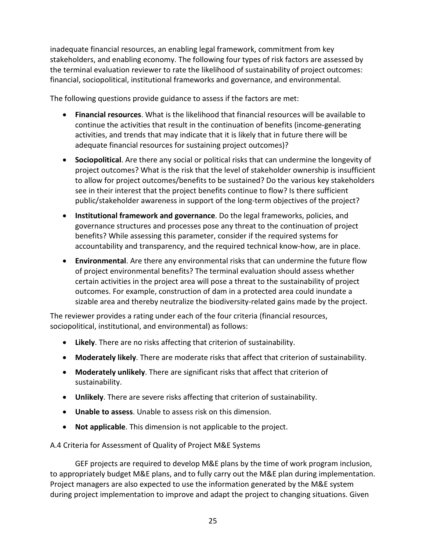inadequate financial resources, an enabling legal framework, commitment from key stakeholders, and enabling economy. The following four types of risk factors are assessed by the terminal evaluation reviewer to rate the likelihood of sustainability of project outcomes: financial, sociopolitical, institutional frameworks and governance, and environmental.

The following questions provide guidance to assess if the factors are met:

- **Financial resources**. What is the likelihood that financial resources will be available to continue the activities that result in the continuation of benefits (income-generating activities, and trends that may indicate that it is likely that in future there will be adequate financial resources for sustaining project outcomes)?
- **Sociopolitical**. Are there any social or political risks that can undermine the longevity of project outcomes? What is the risk that the level of stakeholder ownership is insufficient to allow for project outcomes/benefits to be sustained? Do the various key stakeholders see in their interest that the project benefits continue to flow? Is there sufficient public/stakeholder awareness in support of the long-term objectives of the project?
- **Institutional framework and governance**. Do the legal frameworks, policies, and governance structures and processes pose any threat to the continuation of project benefits? While assessing this parameter, consider if the required systems for accountability and transparency, and the required technical know-how, are in place.
- **Environmental**. Are there any environmental risks that can undermine the future flow of project environmental benefits? The terminal evaluation should assess whether certain activities in the project area will pose a threat to the sustainability of project outcomes. For example, construction of dam in a protected area could inundate a sizable area and thereby neutralize the biodiversity-related gains made by the project.

The reviewer provides a rating under each of the four criteria (financial resources, sociopolitical, institutional, and environmental) as follows:

- **Likely**. There are no risks affecting that criterion of sustainability.
- **Moderately likely**. There are moderate risks that affect that criterion of sustainability.
- **Moderately unlikely**. There are significant risks that affect that criterion of sustainability.
- **Unlikely**. There are severe risks affecting that criterion of sustainability.
- **Unable to assess**. Unable to assess risk on this dimension.
- **Not applicable**. This dimension is not applicable to the project.

A.4 Criteria for Assessment of Quality of Project M&E Systems

GEF projects are required to develop M&E plans by the time of work program inclusion, to appropriately budget M&E plans, and to fully carry out the M&E plan during implementation. Project managers are also expected to use the information generated by the M&E system during project implementation to improve and adapt the project to changing situations. Given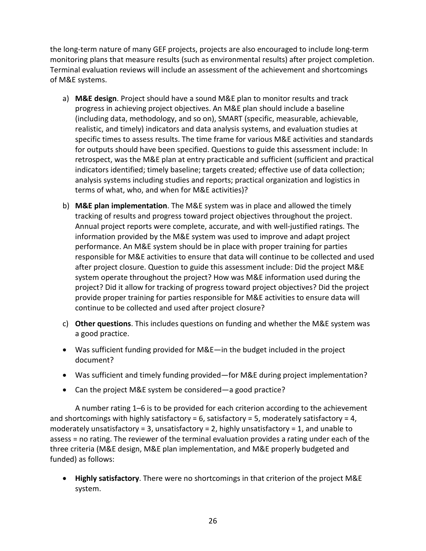the long-term nature of many GEF projects, projects are also encouraged to include long-term monitoring plans that measure results (such as environmental results) after project completion. Terminal evaluation reviews will include an assessment of the achievement and shortcomings of M&E systems.

- a) **M&E design**. Project should have a sound M&E plan to monitor results and track progress in achieving project objectives. An M&E plan should include a baseline (including data, methodology, and so on), SMART (specific, measurable, achievable, realistic, and timely) indicators and data analysis systems, and evaluation studies at specific times to assess results. The time frame for various M&E activities and standards for outputs should have been specified. Questions to guide this assessment include: In retrospect, was the M&E plan at entry practicable and sufficient (sufficient and practical indicators identified; timely baseline; targets created; effective use of data collection; analysis systems including studies and reports; practical organization and logistics in terms of what, who, and when for M&E activities)?
- b) **M&E plan implementation**. The M&E system was in place and allowed the timely tracking of results and progress toward project objectives throughout the project. Annual project reports were complete, accurate, and with well-justified ratings. The information provided by the M&E system was used to improve and adapt project performance. An M&E system should be in place with proper training for parties responsible for M&E activities to ensure that data will continue to be collected and used after project closure. Question to guide this assessment include: Did the project M&E system operate throughout the project? How was M&E information used during the project? Did it allow for tracking of progress toward project objectives? Did the project provide proper training for parties responsible for M&E activities to ensure data will continue to be collected and used after project closure?
- c) **Other questions**. This includes questions on funding and whether the M&E system was a good practice.
- Was sufficient funding provided for M&E—in the budget included in the project document?
- Was sufficient and timely funding provided—for M&E during project implementation?
- Can the project M&E system be considered—a good practice?

A number rating 1–6 is to be provided for each criterion according to the achievement and shortcomings with highly satisfactory = 6, satisfactory = 5, moderately satisfactory = 4, moderately unsatisfactory = 3, unsatisfactory = 2, highly unsatisfactory = 1, and unable to assess = no rating. The reviewer of the terminal evaluation provides a rating under each of the three criteria (M&E design, M&E plan implementation, and M&E properly budgeted and funded) as follows:

• **Highly satisfactory**. There were no shortcomings in that criterion of the project M&E system.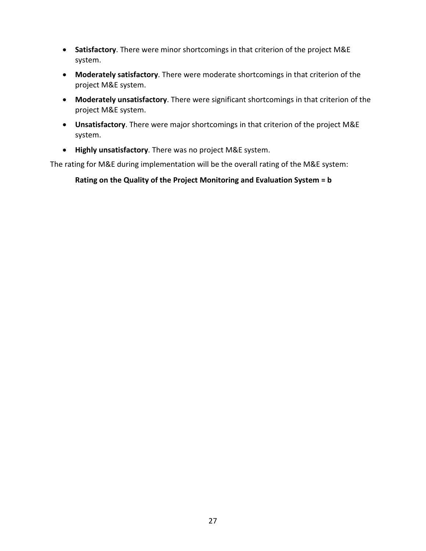- **Satisfactory**. There were minor shortcomings in that criterion of the project M&E system.
- **Moderately satisfactory**. There were moderate shortcomings in that criterion of the project M&E system.
- **Moderately unsatisfactory**. There were significant shortcomings in that criterion of the project M&E system.
- **Unsatisfactory**. There were major shortcomings in that criterion of the project M&E system.
- **Highly unsatisfactory**. There was no project M&E system.

The rating for M&E during implementation will be the overall rating of the M&E system:

**Rating on the Quality of the Project Monitoring and Evaluation System = b**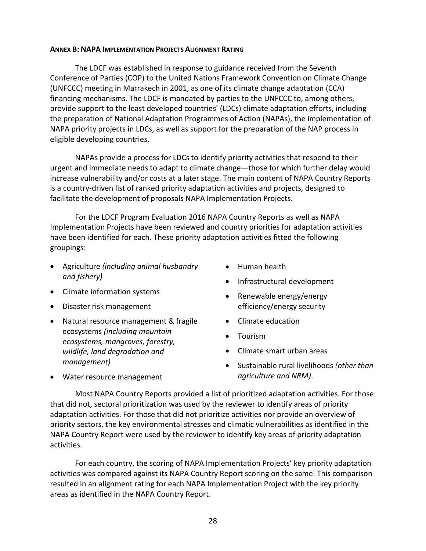#### <span id="page-34-0"></span>**ANNEX B: NAPA IMPLEMENTATION PROJECTS ALIGNMENT RATING**

The LDCF was established in response to guidance received from the Seventh Conference of Parties (COP) to the United Nations Framework Convention on Climate Change (UNFCCC) meeting in Marrakech in 2001, as one of its climate change adaptation (CCA) financing mechanisms. The LDCF is mandated by parties to the UNFCCC to, among others, provide support to the least developed countries' (LDCs) climate adaptation efforts, including the preparation of National Adaptation Programmes of Action (NAPAs), the implementation of NAPA priority projects in LDCs, as well as support for the preparation of the NAP process in eligible developing countries.

NAPAs provide a process for LDCs to identify priority activities that respond to their urgent and immediate needs to adapt to climate change—those for which further delay would increase vulnerability and/or costs at a later stage. The main content of NAPA Country Reports is a country-driven list of ranked priority adaptation activities and projects, designed to facilitate the development of proposals NAPA Implementation Projects.

For the LDCF Program Evaluation 2016 NAPA Country Reports as well as NAPA Implementation Projects have been reviewed and country priorities for adaptation activities have been identified for each. These priority adaptation activities fitted the following groupings:

- Agriculture *(including animal husbandry and fishery)*
- Climate information systems
- Disaster risk management
- Natural resource management & fragile ecosystems *(including mountain ecosystems, mangroves, forestry, wildlife, land degradation and management)*
- Human health
- Infrastructural development
- Renewable energy/energy efficiency/energy security
- Climate education
- Tourism
- Climate smart urban areas
- Sustainable rural livelihoods *(other than agriculture and NRM)*.

• Water resource management

Most NAPA Country Reports provided a list of prioritized adaptation activities. For those that did not, sectoral prioritization was used by the reviewer to identify areas of priority adaptation activities. For those that did not prioritize activities nor provide an overview of priority sectors, the key environmental stresses and climatic vulnerabilities as identified in the NAPA Country Report were used by the reviewer to identify key areas of priority adaptation activities.

For each country, the scoring of NAPA Implementation Projects' key priority adaptation activities was compared against its NAPA Country Report scoring on the same. This comparison resulted in an alignment rating for each NAPA Implementation Project with the key priority areas as identified in the NAPA Country Report.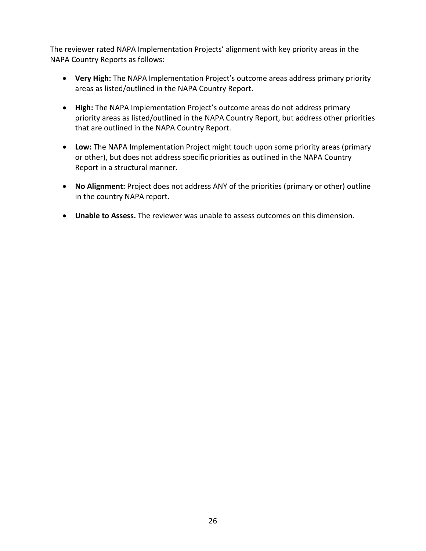The reviewer rated NAPA Implementation Projects' alignment with key priority areas in the NAPA Country Reports as follows:

- **Very High:** The NAPA Implementation Project's outcome areas address primary priority areas as listed/outlined in the NAPA Country Report.
- **High:** The NAPA Implementation Project's outcome areas do not address primary priority areas as listed/outlined in the NAPA Country Report, but address other priorities that are outlined in the NAPA Country Report.
- **Low:** The NAPA Implementation Project might touch upon some priority areas (primary or other), but does not address specific priorities as outlined in the NAPA Country Report in a structural manner.
- **No Alignment:** Project does not address ANY of the priorities (primary or other) outline in the country NAPA report.
- **Unable to Assess.** The reviewer was unable to assess outcomes on this dimension.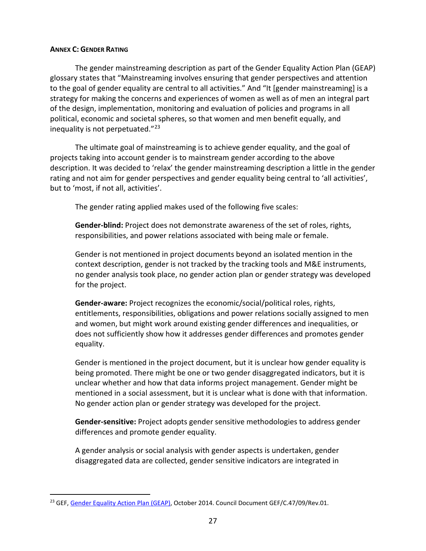#### <span id="page-36-0"></span>**ANNEX C: GENDER RATING**

The gender mainstreaming description as part of the Gender Equality Action Plan (GEAP) glossary states that "Mainstreaming involves ensuring that gender perspectives and attention to the goal of gender equality are central to all activities." And "It [gender mainstreaming] is a strategy for making the concerns and experiences of women as well as of men an integral part of the design, implementation, monitoring and evaluation of policies and programs in all political, economic and societal spheres, so that women and men benefit equally, and inequality is not perpetuated."[23](#page-36-1)

The ultimate goal of mainstreaming is to achieve gender equality, and the goal of projects taking into account gender is to mainstream gender according to the above description. It was decided to 'relax' the gender mainstreaming description a little in the gender rating and not aim for gender perspectives and gender equality being central to 'all activities', but to 'most, if not all, activities'.

The gender rating applied makes used of the following five scales:

**Gender-blind:** Project does not demonstrate awareness of the set of roles, rights, responsibilities, and power relations associated with being male or female.

Gender is not mentioned in project documents beyond an isolated mention in the context description, gender is not tracked by the tracking tools and M&E instruments, no gender analysis took place, no gender action plan or gender strategy was developed for the project.

**Gender-aware:** Project recognizes the economic/social/political roles, rights, entitlements, responsibilities, obligations and power relations socially assigned to men and women, but might work around existing gender differences and inequalities, or does not sufficiently show how it addresses gender differences and promotes gender equality.

Gender is mentioned in the project document, but it is unclear how gender equality is being promoted. There might be one or two gender disaggregated indicators, but it is unclear whether and how that data informs project management. Gender might be mentioned in a social assessment, but it is unclear what is done with that information. No gender action plan or gender strategy was developed for the project.

**Gender-sensitive:** Project adopts gender sensitive methodologies to address gender differences and promote gender equality.

A gender analysis or social analysis with gender aspects is undertaken, gender disaggregated data are collected, gender sensitive indicators are integrated in

<span id="page-36-1"></span><sup>&</sup>lt;sup>23</sup> GEF, [Gender Equality Action Plan \(GEAP\),](https://www.thegef.org/council-meeting-documents/gender-equality-action-plan-0) October 2014. Council Document GEF/C.47/09/Rev.01.